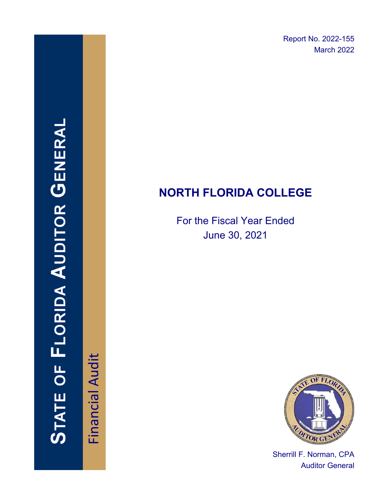Report No. 2022-155 March 2022

# **NORTH FLORIDA COLLEGE**

For the Fiscal Year Ended June 30, 2021



Sherrill F. Norman, CPA Auditor General

Financial Audit Financial Audit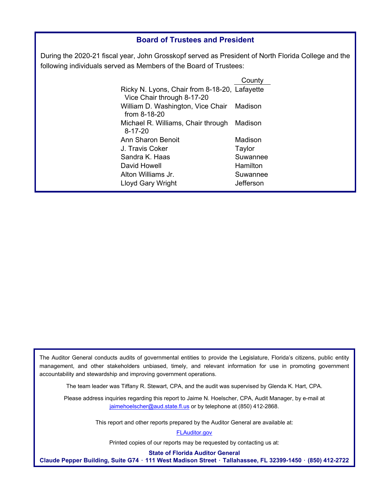#### **Board of Trustees and President**

During the 2020-21 fiscal year, John Grosskopf served as President of North Florida College and the following individuals served as Members of the Board of Trustees:

|                                                                             | County    |
|-----------------------------------------------------------------------------|-----------|
| Ricky N. Lyons, Chair from 8-18-20, Lafayette<br>Vice Chair through 8-17-20 |           |
| William D. Washington, Vice Chair Madison<br>from $8-18-20$                 |           |
| Michael R. Williams, Chair through<br>$8 - 17 - 20$                         | Madison   |
| Ann Sharon Benoit                                                           | Madison   |
| J. Travis Coker                                                             | Taylor    |
| Sandra K Haas                                                               | Suwannee  |
| David Howell                                                                | Hamilton  |
| Alton Williams Jr.                                                          | Suwannee  |
| Lloyd Gary Wright                                                           | Jefferson |

The Auditor General conducts audits of governmental entities to provide the Legislature, Florida's citizens, public entity management, and other stakeholders unbiased, timely, and relevant information for use in promoting government accountability and stewardship and improving government operations.

The team leader was Tiffany R. Stewart, CPA, and the audit was supervised by Glenda K. Hart, CPA.

Please address inquiries regarding this report to Jaime N. Hoelscher, CPA, Audit Manager, by e-mail at jaimehoelscher@aud.state.fl.us or by telephone at (850) 412-2868.

This report and other reports prepared by the Auditor General are available at:

[FLAuditor.gov](http://flauditor.gov/) 

Printed copies of our reports may be requested by contacting us at:

**State of Florida Auditor General** 

**Claude Pepper Building, Suite G74** ∙ **111 West Madison Street** ∙ **Tallahassee, FL 32399-1450** ∙ **(850) 412-2722**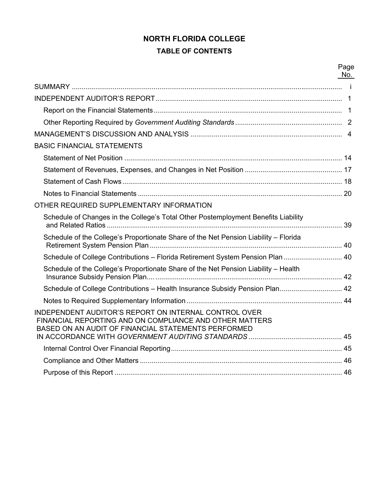## **NORTH FLORIDA COLLEGE TABLE OF CONTENTS**

|                                                                                                                                                                         | Page<br>No. |
|-------------------------------------------------------------------------------------------------------------------------------------------------------------------------|-------------|
|                                                                                                                                                                         |             |
|                                                                                                                                                                         |             |
|                                                                                                                                                                         |             |
|                                                                                                                                                                         |             |
|                                                                                                                                                                         |             |
| <b>BASIC FINANCIAL STATEMENTS</b>                                                                                                                                       |             |
|                                                                                                                                                                         |             |
|                                                                                                                                                                         |             |
|                                                                                                                                                                         |             |
|                                                                                                                                                                         |             |
| OTHER REQUIRED SUPPLEMENTARY INFORMATION                                                                                                                                |             |
| Schedule of Changes in the College's Total Other Postemployment Benefits Liability                                                                                      |             |
| Schedule of the College's Proportionate Share of the Net Pension Liability - Florida                                                                                    |             |
| Schedule of College Contributions - Florida Retirement System Pension Plan  40                                                                                          |             |
| Schedule of the College's Proportionate Share of the Net Pension Liability - Health                                                                                     |             |
| Schedule of College Contributions - Health Insurance Subsidy Pension Plan 42                                                                                            |             |
|                                                                                                                                                                         |             |
| INDEPENDENT AUDITOR'S REPORT ON INTERNAL CONTROL OVER<br>FINANCIAL REPORTING AND ON COMPLIANCE AND OTHER MATTERS<br>BASED ON AN AUDIT OF FINANCIAL STATEMENTS PERFORMED |             |
|                                                                                                                                                                         |             |
|                                                                                                                                                                         |             |
|                                                                                                                                                                         |             |
|                                                                                                                                                                         |             |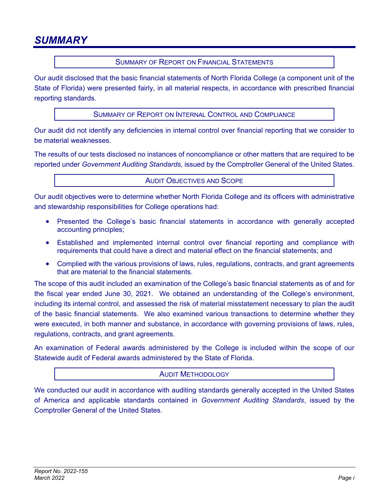## SUMMARY OF REPORT ON FINANCIAL STATEMENTS

<span id="page-3-0"></span>Our audit disclosed that the basic financial statements of North Florida College (a component unit of the State of Florida) were presented fairly, in all material respects, in accordance with prescribed financial reporting standards.

#### SUMMARY OF REPORT ON INTERNAL CONTROL AND COMPLIANCE

Our audit did not identify any deficiencies in internal control over financial reporting that we consider to be material weaknesses.

The results of our tests disclosed no instances of noncompliance or other matters that are required to be reported under *Government Auditing Standards*, issued by the Comptroller General of the United States.

#### AUDIT OBJECTIVES AND SCOPE

Our audit objectives were to determine whether North Florida College and its officers with administrative and stewardship responsibilities for College operations had:

- Presented the College's basic financial statements in accordance with generally accepted accounting principles;
- Established and implemented internal control over financial reporting and compliance with requirements that could have a direct and material effect on the financial statements; and
- Complied with the various provisions of laws, rules, regulations, contracts, and grant agreements that are material to the financial statements.

The scope of this audit included an examination of the College's basic financial statements as of and for the fiscal year ended June 30, 2021. We obtained an understanding of the College's environment, including its internal control, and assessed the risk of material misstatement necessary to plan the audit of the basic financial statements. We also examined various transactions to determine whether they were executed, in both manner and substance, in accordance with governing provisions of laws, rules, regulations, contracts, and grant agreements.

An examination of Federal awards administered by the College is included within the scope of our Statewide audit of Federal awards administered by the State of Florida.

## AUDIT METHODOLOGY

We conducted our audit in accordance with auditing standards generally accepted in the United States of America and applicable standards contained in *Government Auditing Standards*, issued by the Comptroller General of the United States.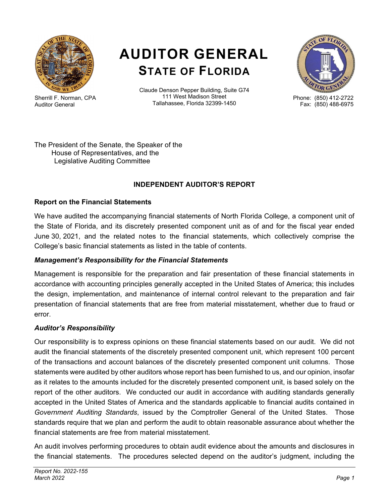<span id="page-4-0"></span>

Sherrill F. Norman, CPA Auditor General

# **AUDITOR GENERAL STATE OF FLORIDA**

Claude Denson Pepper Building, Suite G74 111 West Madison Street Tallahassee, Florida 32399-1450



Phone: (850) 412-2722 Fax: (850) 488-6975

The President of the Senate, the Speaker of the House of Representatives, and the Legislative Auditing Committee

## **INDEPENDENT AUDITOR'S REPORT**

## **Report on the Financial Statements**

We have audited the accompanying financial statements of North Florida College, a component unit of the State of Florida, and its discretely presented component unit as of and for the fiscal year ended June 30, 2021, and the related notes to the financial statements, which collectively comprise the College's basic financial statements as listed in the table of contents.

## *Management's Responsibility for the Financial Statements*

Management is responsible for the preparation and fair presentation of these financial statements in accordance with accounting principles generally accepted in the United States of America; this includes the design, implementation, and maintenance of internal control relevant to the preparation and fair presentation of financial statements that are free from material misstatement, whether due to fraud or error.

## *Auditor's Responsibility*

Our responsibility is to express opinions on these financial statements based on our audit. We did not audit the financial statements of the discretely presented component unit, which represent 100 percent of the transactions and account balances of the discretely presented component unit columns. Those statements were audited by other auditors whose report has been furnished to us, and our opinion, insofar as it relates to the amounts included for the discretely presented component unit, is based solely on the report of the other auditors. We conducted our audit in accordance with auditing standards generally accepted in the United States of America and the standards applicable to financial audits contained in *Government Auditing Standards*, issued by the Comptroller General of the United States. Those standards require that we plan and perform the audit to obtain reasonable assurance about whether the financial statements are free from material misstatement.

An audit involves performing procedures to obtain audit evidence about the amounts and disclosures in the financial statements. The procedures selected depend on the auditor's judgment, including the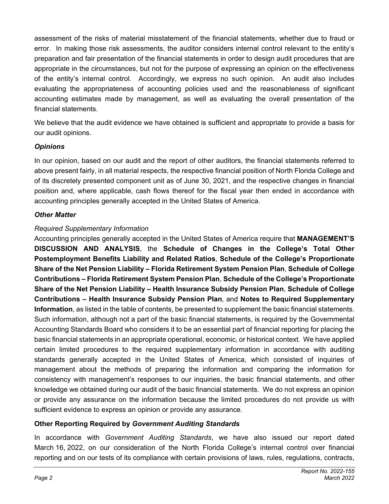<span id="page-5-0"></span>assessment of the risks of material misstatement of the financial statements, whether due to fraud or error. In making those risk assessments, the auditor considers internal control relevant to the entity's preparation and fair presentation of the financial statements in order to design audit procedures that are appropriate in the circumstances, but not for the purpose of expressing an opinion on the effectiveness of the entity's internal control. Accordingly, we express no such opinion. An audit also includes evaluating the appropriateness of accounting policies used and the reasonableness of significant accounting estimates made by management, as well as evaluating the overall presentation of the financial statements.

We believe that the audit evidence we have obtained is sufficient and appropriate to provide a basis for our audit opinions.

## *Opinions*

In our opinion, based on our audit and the report of other auditors, the financial statements referred to above present fairly, in all material respects, the respective financial position of North Florida College and of its discretely presented component unit as of June 30, 2021, and the respective changes in financial position and, where applicable, cash flows thereof for the fiscal year then ended in accordance with accounting principles generally accepted in the United States of America.

## *Other Matter*

## *Required Supplementary Information*

Accounting principles generally accepted in the United States of America require that **MANAGEMENT'S DISCUSSION AND ANALYSIS**, the **Schedule of Changes in the College's Total Other Postemployment Benefits Liability and Related Ratios**, **Schedule of the College's Proportionate Share of the Net Pension Liability – Florida Retirement System Pension Plan**, **Schedule of College Contributions – Florida Retirement System Pension Plan**, **Schedule of the College's Proportionate Share of the Net Pension Liability – Health Insurance Subsidy Pension Plan**, **Schedule of College Contributions – Health Insurance Subsidy Pension Plan**, and **Notes to Required Supplementary Information**, as listed in the table of contents, be presented to supplement the basic financial statements. Such information, although not a part of the basic financial statements, is required by the Governmental Accounting Standards Board who considers it to be an essential part of financial reporting for placing the basic financial statements in an appropriate operational, economic, or historical context. We have applied certain limited procedures to the required supplementary information in accordance with auditing standards generally accepted in the United States of America, which consisted of inquiries of management about the methods of preparing the information and comparing the information for consistency with management's responses to our inquiries, the basic financial statements, and other knowledge we obtained during our audit of the basic financial statements. We do not express an opinion or provide any assurance on the information because the limited procedures do not provide us with sufficient evidence to express an opinion or provide any assurance.

## **Other Reporting Required by** *Government Auditing Standards*

In accordance with *Government Auditing Standards*, we have also issued our report dated March 16, 2022, on our consideration of the North Florida College's internal control over financial reporting and on our tests of its compliance with certain provisions of laws, rules, regulations, contracts,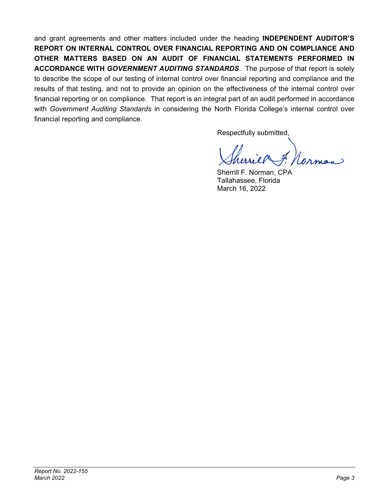and grant agreements and other matters included under the heading **INDEPENDENT AUDITOR'S REPORT ON INTERNAL CONTROL OVER FINANCIAL REPORTING AND ON COMPLIANCE AND OTHER MATTERS BASED ON AN AUDIT OF FINANCIAL STATEMENTS PERFORMED IN ACCORDANCE WITH** *GOVERNMENT AUDITING STANDARDS*. The purpose of that report is solely to describe the scope of our testing of internal control over financial reporting and compliance and the results of that testing, and not to provide an opinion on the effectiveness of the internal control over financial reporting or on compliance. That report is an integral part of an audit performed in accordance with *Government Auditing Standards* in considering the North Florida College's internal control over financial reporting and compliance.

Respectfully submitted,

Sherrill F. Norman, CPA Tallahassee, Florida March 16, 2022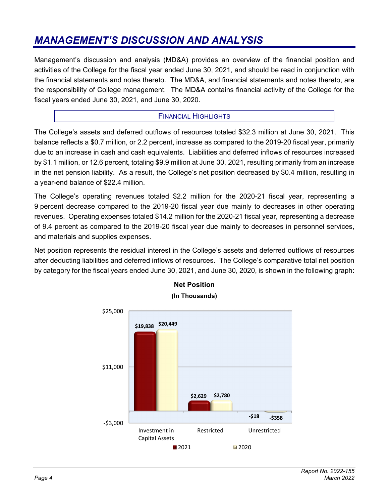## <span id="page-7-0"></span>*MANAGEMENT'S DISCUSSION AND ANALYSIS*

Management's discussion and analysis (MD&A) provides an overview of the financial position and activities of the College for the fiscal year ended June 30, 2021, and should be read in conjunction with the financial statements and notes thereto. The MD&A, and financial statements and notes thereto, are the responsibility of College management. The MD&A contains financial activity of the College for the fiscal years ended June 30, 2021, and June 30, 2020.

## FINANCIAL HIGHLIGHTS

The College's assets and deferred outflows of resources totaled \$32.3 million at June 30, 2021. This balance reflects a \$0.7 million, or 2.2 percent, increase as compared to the 2019-20 fiscal year, primarily due to an increase in cash and cash equivalents. Liabilities and deferred inflows of resources increased by \$1.1 million, or 12.6 percent, totaling \$9.9 million at June 30, 2021, resulting primarily from an increase in the net pension liability. As a result, the College's net position decreased by \$0.4 million, resulting in a year-end balance of \$22.4 million.

The College's operating revenues totaled \$2.2 million for the 2020-21 fiscal year, representing a 9 percent decrease compared to the 2019-20 fiscal year due mainly to decreases in other operating revenues. Operating expenses totaled \$14.2 million for the 2020-21 fiscal year, representing a decrease of 9.4 percent as compared to the 2019-20 fiscal year due mainly to decreases in personnel services, and materials and supplies expenses.

Net position represents the residual interest in the College's assets and deferred outflows of resources after deducting liabilities and deferred inflows of resources. The College's comparative total net position by category for the fiscal years ended June 30, 2021, and June 30, 2020, is shown in the following graph:



## **Net Position**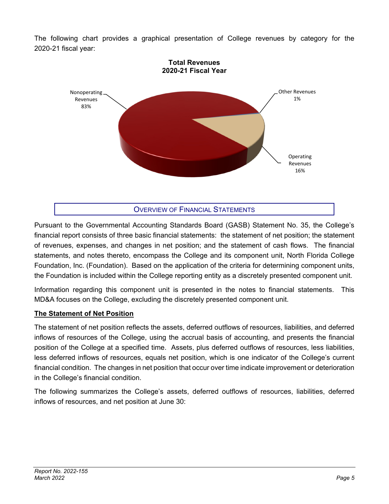The following chart provides a graphical presentation of College revenues by category for the 2020-21 fiscal year:



## OVERVIEW OF FINANCIAL STATEMENTS

Pursuant to the Governmental Accounting Standards Board (GASB) Statement No. 35, the College's financial report consists of three basic financial statements: the statement of net position; the statement of revenues, expenses, and changes in net position; and the statement of cash flows. The financial statements, and notes thereto, encompass the College and its component unit, North Florida College Foundation, Inc. (Foundation). Based on the application of the criteria for determining component units, the Foundation is included within the College reporting entity as a discretely presented component unit.

Information regarding this component unit is presented in the notes to financial statements. This MD&A focuses on the College, excluding the discretely presented component unit.

## **The Statement of Net Position**

The statement of net position reflects the assets, deferred outflows of resources, liabilities, and deferred inflows of resources of the College, using the accrual basis of accounting, and presents the financial position of the College at a specified time. Assets, plus deferred outflows of resources, less liabilities, less deferred inflows of resources, equals net position, which is one indicator of the College's current financial condition. The changes in net position that occur over time indicate improvement or deterioration in the College's financial condition.

The following summarizes the College's assets, deferred outflows of resources, liabilities, deferred inflows of resources, and net position at June 30: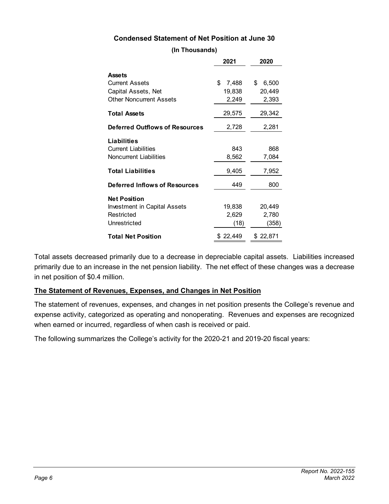## **Condensed Statement of Net Position at June 30**

**(In Thousands)** 

|                                       | 2021        | 2020        |
|---------------------------------------|-------------|-------------|
| <b>Assets</b>                         |             |             |
| <b>Current Assets</b>                 | \$<br>7,488 | \$<br>6,500 |
| Capital Assets, Net                   | 19,838      | 20,449      |
| <b>Other Noncurrent Assets</b>        | 2,249       | 2,393       |
| <b>Total Assets</b>                   | 29,575      | 29,342      |
| <b>Deferred Outflows of Resources</b> | 2,728       | 2,281       |
| Liabilities                           |             |             |
| <b>Current Liabilities</b>            | 843         | 868         |
| <b>Noncurrent Liabilities</b>         | 8,562       | 7,084       |
| <b>Total Liabilities</b>              | 9,405       | 7,952       |
| Deferred Inflows of Resources         | 449         | 800         |
| <b>Net Position</b>                   |             |             |
| <b>Investment in Capital Assets</b>   | 19,838      | 20,449      |
| Restricted                            | 2,629       | 2,780       |
| Unrestricted                          | (18)        | (358)       |
| <b>Total Net Position</b>             | \$22,449    | \$22,871    |

Total assets decreased primarily due to a decrease in depreciable capital assets. Liabilities increased primarily due to an increase in the net pension liability. The net effect of these changes was a decrease in net position of \$0.4 million.

#### **The Statement of Revenues, Expenses, and Changes in Net Position**

The statement of revenues, expenses, and changes in net position presents the College's revenue and expense activity, categorized as operating and nonoperating. Revenues and expenses are recognized when earned or incurred, regardless of when cash is received or paid.

The following summarizes the College's activity for the 2020-21 and 2019-20 fiscal years: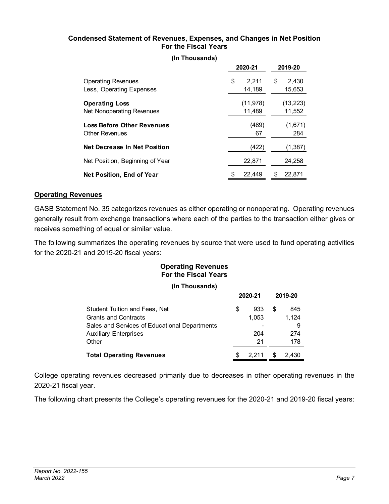## **Condensed Statement of Revenues, Expenses, and Changes in Net Position For the Fiscal Years**

|                                                           | 2020-21 |                     | 2019-20 |                     |
|-----------------------------------------------------------|---------|---------------------|---------|---------------------|
| <b>Operating Revenues</b><br>Less, Operating Expenses     | \$      | 2,211<br>14,189     | \$      | 2,430<br>15,653     |
| <b>Operating Loss</b><br><b>Net Nonoperating Revenues</b> |         | (11, 978)<br>11,489 |         | (13, 223)<br>11,552 |
| <b>Loss Before Other Revenues</b><br>Other Revenues       |         | (489)<br>67         |         | (1,671)<br>284      |
| <b>Net Decrease In Net Position</b>                       |         | (422)               |         | (1, 387)            |
| Net Position, Beginning of Year                           |         | 22,871              |         | 24,258              |
| Net Position, End of Year                                 | \$      | 22.449              | \$      | 22.871              |

## **(In Thousands)**

#### **Operating Revenues**

GASB Statement No. 35 categorizes revenues as either operating or nonoperating. Operating revenues generally result from exchange transactions where each of the parties to the transaction either gives or receives something of equal or similar value.

The following summarizes the operating revenues by source that were used to fund operating activities for the 2020-21 and 2019-20 fiscal years:

## **Operating Revenues For the Fiscal Years**

#### **(In Thousands)**

|                                               |    | 2020-21 |   | 2019-20 |
|-----------------------------------------------|----|---------|---|---------|
| Student Tuition and Fees, Net                 | \$ | 933     | S | 845     |
| Grants and Contracts                          |    | 1.053   |   | 1.124   |
| Sales and Services of Educational Departments |    |         |   |         |
| <b>Auxiliary Enterprises</b>                  |    | 204     |   | 274     |
| Other                                         |    | 21      |   | 178     |
| <b>Total Operating Revenues</b>               | S  | 2.211   | S | 2.430   |

College operating revenues decreased primarily due to decreases in other operating revenues in the 2020-21 fiscal year.

The following chart presents the College's operating revenues for the 2020-21 and 2019-20 fiscal years: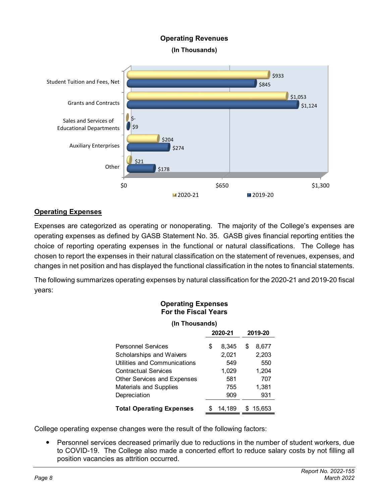

## **Operating Expenses**

Expenses are categorized as operating or nonoperating. The majority of the College's expenses are operating expenses as defined by GASB Statement No. 35. GASB gives financial reporting entities the choice of reporting operating expenses in the functional or natural classifications. The College has chosen to report the expenses in their natural classification on the statement of revenues, expenses, and changes in net position and has displayed the functional classification in the notes to financial statements.

The following summarizes operating expenses by natural classification for the 2020-21 and 2019-20 fiscal years:

## **Operating Expenses For the Fiscal Years**

#### **(In Thousands)**

|                                                | 2020-21 |                | 2019-20 |                |
|------------------------------------------------|---------|----------------|---------|----------------|
| Personnel Services<br>Scholarships and Waivers | \$      | 8,345<br>2,021 | \$      | 8,677<br>2,203 |
| Utilities and Communications                   |         | 549            |         | 550            |
| Contractual Services                           |         | 1,029          |         | 1,204          |
| <b>Other Services and Expenses</b>             |         | 581            |         | 707            |
| <b>Materials and Supplies</b>                  |         | 755            |         | 1,381          |
| Depreciation                                   |         | 909            |         | 931            |
| <b>Total Operating Expenses</b>                | S.      | 14.189         |         | 15,653         |

College operating expense changes were the result of the following factors:

 Personnel services decreased primarily due to reductions in the number of student workers, due to COVID-19. The College also made a concerted effort to reduce salary costs by not filling all position vacancies as attrition occurred.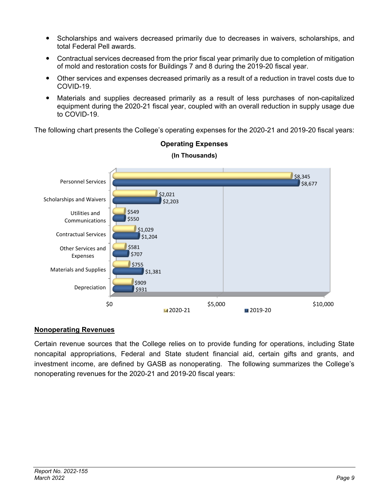- Scholarships and waivers decreased primarily due to decreases in waivers, scholarships, and total Federal Pell awards.
- Contractual services decreased from the prior fiscal year primarily due to completion of mitigation of mold and restoration costs for Buildings 7 and 8 during the 2019-20 fiscal year.
- Other services and expenses decreased primarily as a result of a reduction in travel costs due to COVID-19.
- Materials and supplies decreased primarily as a result of less purchases of non-capitalized equipment during the 2020-21 fiscal year, coupled with an overall reduction in supply usage due to COVID-19.

The following chart presents the College's operating expenses for the 2020-21 and 2019-20 fiscal years:



## **Operating Expenses (In Thousands)**

## **Nonoperating Revenues**

Certain revenue sources that the College relies on to provide funding for operations, including State noncapital appropriations, Federal and State student financial aid, certain gifts and grants, and investment income, are defined by GASB as nonoperating. The following summarizes the College's nonoperating revenues for the 2020-21 and 2019-20 fiscal years: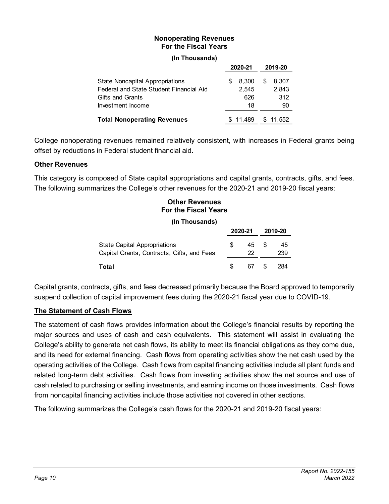#### **Nonoperating Revenues For the Fiscal Years**

#### **(In Thousands)**

|                                         | 2020-21 |          |    |          | 2019-20 |
|-----------------------------------------|---------|----------|----|----------|---------|
| <b>State Noncapital Appropriations</b>  | S       | 8.300    | \$ | 8,307    |         |
| Federal and State Student Financial Aid |         | 2,545    |    | 2,843    |         |
| Gifts and Grants                        |         | 626      |    | 312      |         |
| Investment Income                       |         | 18       |    | 90       |         |
| <b>Total Nonoperating Revenues</b>      |         | \$11.489 |    | \$11.552 |         |

College nonoperating revenues remained relatively consistent, with increases in Federal grants being offset by reductions in Federal student financial aid.

## **Other Revenues**

This category is composed of State capital appropriations and capital grants, contracts, gifts, and fees. The following summarizes the College's other revenues for the 2020-21 and 2019-20 fiscal years:

## **Other Revenues For the Fiscal Years**

#### **(In Thousands)**

|                                                                                   | 2020-21 |          | 2019-20 |           |
|-----------------------------------------------------------------------------------|---------|----------|---------|-----------|
| <b>State Capital Appropriations</b><br>Capital Grants, Contracts, Gifts, and Fees |         | 45<br>22 |         | 45<br>239 |
| Total                                                                             |         | 67       |         | 284       |

Capital grants, contracts, gifts, and fees decreased primarily because the Board approved to temporarily suspend collection of capital improvement fees during the 2020-21 fiscal year due to COVID-19.

## **The Statement of Cash Flows**

The statement of cash flows provides information about the College's financial results by reporting the major sources and uses of cash and cash equivalents. This statement will assist in evaluating the College's ability to generate net cash flows, its ability to meet its financial obligations as they come due, and its need for external financing. Cash flows from operating activities show the net cash used by the operating activities of the College. Cash flows from capital financing activities include all plant funds and related long-term debt activities. Cash flows from investing activities show the net source and use of cash related to purchasing or selling investments, and earning income on those investments. Cash flows from noncapital financing activities include those activities not covered in other sections.

The following summarizes the College's cash flows for the 2020-21 and 2019-20 fiscal years: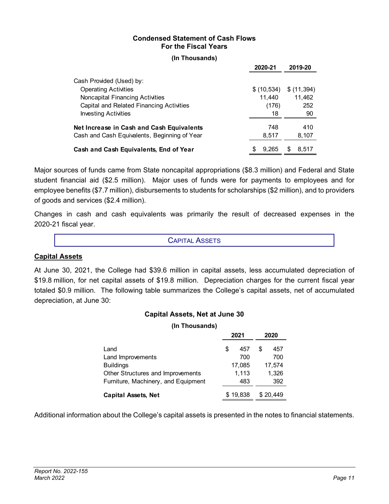## **Condensed Statement of Cash Flows For the Fiscal Years**

**(In Thousands)** 

**2020-21 2019-20**

| Cash Provided (Used) by:                        |             |            |
|-------------------------------------------------|-------------|------------|
| <b>Operating Activities</b>                     | \$ (10,534) | \$(11,394) |
| <b>Noncapital Financing Activities</b>          | 11,440      | 11,462     |
| <b>Capital and Related Financing Activities</b> | (176)       | 252        |
| <b>Investing Activities</b>                     | 18          | 90         |
| Net Increase in Cash and Cash Equivalents       | 748         | 410        |
| Cash and Cash Equivalents, Beginning of Year    | 8,517       | 8,107      |
| Cash and Cash Equivalents, End of Year          | 9.265       | 8.517<br>S |

Major sources of funds came from State noncapital appropriations (\$8.3 million) and Federal and State student financial aid (\$2.5 million). Major uses of funds were for payments to employees and for employee benefits (\$7.7 million), disbursements to students for scholarships (\$2 million), and to providers of goods and services (\$2.4 million).

Changes in cash and cash equivalents was primarily the result of decreased expenses in the 2020-21 fiscal year.

CAPITAL ASSETS

## **Capital Assets**

At June 30, 2021, the College had \$39.6 million in capital assets, less accumulated depreciation of \$19.8 million, for net capital assets of \$19.8 million. Depreciation charges for the current fiscal year totaled \$0.9 million. The following table summarizes the College's capital assets, net of accumulated depreciation, at June 30:

## **Capital Assets, Net at June 30**

| (In Thousands)                      |    |          |    |          |  |
|-------------------------------------|----|----------|----|----------|--|
|                                     |    | 2021     |    | 2020     |  |
| Land                                | \$ | 457      | \$ | 457      |  |
| Land Improvements                   |    | 700      |    | 700      |  |
| <b>Buildings</b>                    |    | 17,085   |    | 17,574   |  |
| Other Structures and Improvements   |    | 1,113    |    | 1,326    |  |
| Furniture, Machinery, and Equipment |    | 483      |    | 392      |  |
| <b>Capital Assets, Net</b>          |    | \$19.838 |    | \$20,449 |  |

Additional information about the College's capital assets is presented in the notes to financial statements.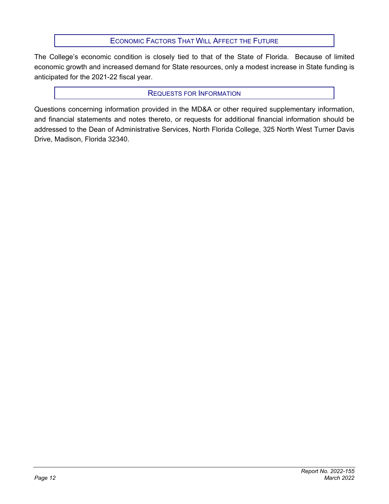ECONOMIC FACTORS THAT WILL AFFECT THE FUTURE

The College's economic condition is closely tied to that of the State of Florida. Because of limited economic growth and increased demand for State resources, only a modest increase in State funding is anticipated for the 2021-22 fiscal year.

REQUESTS FOR INFORMATION

Questions concerning information provided in the MD&A or other required supplementary information, and financial statements and notes thereto, or requests for additional financial information should be addressed to the Dean of Administrative Services, North Florida College, 325 North West Turner Davis Drive, Madison, Florida 32340.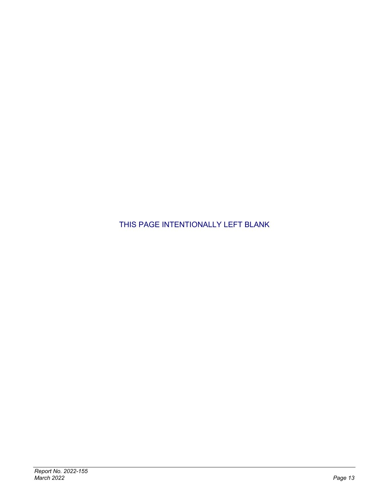THIS PAGE INTENTIONALLY LEFT BLANK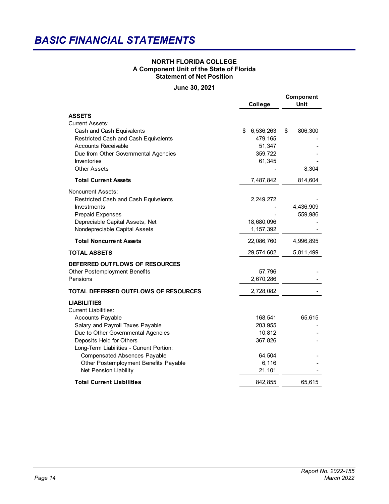## <span id="page-17-0"></span>*BASIC FINANCIAL STATEMENTS*

#### **NORTH FLORIDA COLLEGE A Component Unit of the State of Florida Statement of Net Position**

## **June 30, 2021**

|                                                                              | College        | Component<br>Unit |
|------------------------------------------------------------------------------|----------------|-------------------|
| <b>ASSETS</b>                                                                |                |                   |
| <b>Current Assets:</b>                                                       |                |                   |
| Cash and Cash Equivalents                                                    | 6,536,263<br>S | \$<br>806,300     |
| Restricted Cash and Cash Equivalents                                         | 479,165        |                   |
| Accounts Receivable                                                          | 51,347         |                   |
| Due from Other Governmental Agencies                                         | 359,722        |                   |
| Inventories                                                                  | 61,345         |                   |
| <b>Other Assets</b>                                                          |                | 8,304             |
| <b>Total Current Assets</b>                                                  | 7,487,842      | 814,604           |
| <b>Noncurrent Assets:</b>                                                    |                |                   |
| Restricted Cash and Cash Equivalents                                         | 2,249,272      |                   |
| Investments                                                                  |                | 4,436,909         |
| <b>Prepaid Expenses</b>                                                      |                | 559,986           |
| Depreciable Capital Assets, Net                                              | 18,680,096     |                   |
| Nondepreciable Capital Assets                                                | 1,157,392      |                   |
| <b>Total Noncurrent Assets</b>                                               | 22,086,760     | 4,996,895         |
| <b>TOTAL ASSETS</b>                                                          | 29,574,602     | 5,811,499         |
| DEFERRED OUTFLOWS OF RESOURCES                                               |                |                   |
| <b>Other Postemployment Benefits</b>                                         | 57,796         |                   |
| Pensions                                                                     | 2,670,286      |                   |
| TOTAL DEFERRED OUTFLOWS OF RESOURCES                                         | 2,728,082      |                   |
| <b>LIABILITIES</b>                                                           |                |                   |
| <b>Current Liabilities:</b>                                                  |                |                   |
| <b>Accounts Payable</b>                                                      | 168,541        | 65,615            |
| Salary and Payroll Taxes Payable                                             | 203,955        |                   |
| Due to Other Governmental Agencies                                           | 10,812         |                   |
| Deposits Held for Others                                                     | 367,826        |                   |
| Long-Term Liabilities - Current Portion:                                     | 64,504         |                   |
| <b>Compensated Absences Payable</b><br>Other Postemployment Benefits Payable | 6,116          |                   |
| Net Pension Liability                                                        | 21,101         |                   |
| <b>Total Current Liabilities</b>                                             | 842,855        | 65,615            |
|                                                                              |                |                   |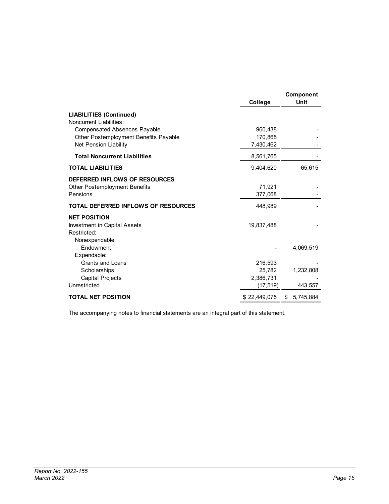|                                                                                                       | College                         | Component<br>Unit |
|-------------------------------------------------------------------------------------------------------|---------------------------------|-------------------|
| <b>LIABILITIES (Continued)</b><br>Noncurrent Liabilities:                                             |                                 |                   |
| <b>Compensated Absences Payable</b><br>Other Postemployment Benefits Payable<br>Net Pension Liability | 960,438<br>170,865<br>7,430,462 |                   |
| <b>Total Noncurrent Liabilities</b>                                                                   | 8,561,765                       |                   |
| <b>TOTAL LIABILITIES</b>                                                                              | 9,404,620                       | 65,615            |
| DEFERRED INFLOWS OF RESOURCES<br><b>Other Postemployment Benefits</b><br>Pensions                     | 71,921<br>377,068               |                   |
| <b>TOTAL DEFERRED INFLOWS OF RESOURCES</b>                                                            | 448.989                         |                   |
| <b>NET POSITION</b><br><b>Investment in Capital Assets</b><br>Restricted:<br>Nonexpendable:           | 19,837,488                      |                   |
| <b>Fndowment</b>                                                                                      |                                 | 4.069.519         |
| Expendable:<br>Grants and Loans<br>Scholarships<br>Capital Projects                                   | 216,593<br>25,782<br>2,386,731  | 1,232,808         |
| Unrestricted                                                                                          | (17, 519)                       | 443,557           |
| <b>TOTAL NET POSITION</b>                                                                             | \$22,449,075                    | 5,745,884<br>\$   |

The accompanying notes to financial statements are an integral part of this statement.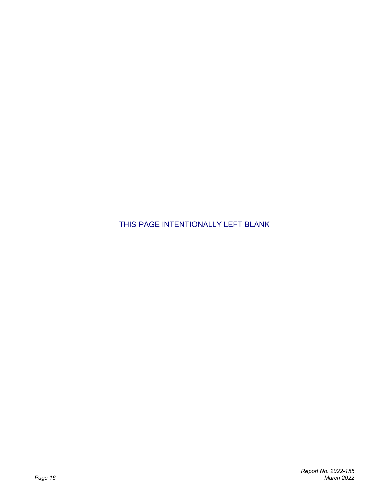THIS PAGE INTENTIONALLY LEFT BLANK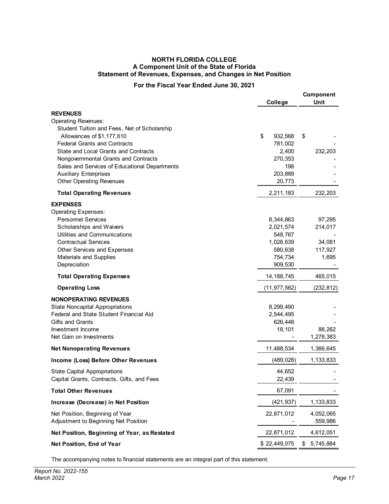#### **NORTH FLORIDA COLLEGE A Component Unit of the State of Florida Statement of Revenues, Expenses, and Changes in Net Position**

## **For the Fiscal Year Ended June 30, 2021**

<span id="page-20-0"></span>

| College<br>Unit<br><b>REVENUES</b><br><b>Operating Revenues:</b><br>Student Tuition and Fees, Net of Scholarship<br>\$<br>\$<br>Allowances of \$1,177,610<br>932,568<br><b>Federal Grants and Contracts</b><br>781,002<br>State and Local Grants and Contracts<br>2,400<br>232,203<br>Nongovernmental Grants and Contracts<br>270,353<br>198<br>Sales and Services of Educational Departments<br><b>Auxiliary Enterprises</b><br>203,889<br><b>Other Operating Revenues</b><br>20,773<br><b>Total Operating Revenues</b><br>2,211,183<br>232,203<br><b>EXPENSES</b><br><b>Operating Expenses:</b><br><b>Personnel Services</b><br>8,344,863<br>97,295<br>Scholarships and Waivers<br>2,021,574<br>214,017<br>Utilities and Communications<br>548,767<br><b>Contractual Services</b><br>1,028,639<br>34,081<br>117,927<br>Other Services and Expenses<br>580,638<br>1,695<br><b>Materials and Supplies</b><br>754,734<br>Depreciation<br>909,530<br>14, 188, 745<br>465,015<br><b>Total Operating Expenses</b><br>(232, 812)<br>(11, 977, 562)<br><b>Operating Loss</b> |
|------------------------------------------------------------------------------------------------------------------------------------------------------------------------------------------------------------------------------------------------------------------------------------------------------------------------------------------------------------------------------------------------------------------------------------------------------------------------------------------------------------------------------------------------------------------------------------------------------------------------------------------------------------------------------------------------------------------------------------------------------------------------------------------------------------------------------------------------------------------------------------------------------------------------------------------------------------------------------------------------------------------------------------------------------------------------|
|                                                                                                                                                                                                                                                                                                                                                                                                                                                                                                                                                                                                                                                                                                                                                                                                                                                                                                                                                                                                                                                                        |
|                                                                                                                                                                                                                                                                                                                                                                                                                                                                                                                                                                                                                                                                                                                                                                                                                                                                                                                                                                                                                                                                        |
|                                                                                                                                                                                                                                                                                                                                                                                                                                                                                                                                                                                                                                                                                                                                                                                                                                                                                                                                                                                                                                                                        |
|                                                                                                                                                                                                                                                                                                                                                                                                                                                                                                                                                                                                                                                                                                                                                                                                                                                                                                                                                                                                                                                                        |
|                                                                                                                                                                                                                                                                                                                                                                                                                                                                                                                                                                                                                                                                                                                                                                                                                                                                                                                                                                                                                                                                        |
|                                                                                                                                                                                                                                                                                                                                                                                                                                                                                                                                                                                                                                                                                                                                                                                                                                                                                                                                                                                                                                                                        |
|                                                                                                                                                                                                                                                                                                                                                                                                                                                                                                                                                                                                                                                                                                                                                                                                                                                                                                                                                                                                                                                                        |
|                                                                                                                                                                                                                                                                                                                                                                                                                                                                                                                                                                                                                                                                                                                                                                                                                                                                                                                                                                                                                                                                        |
|                                                                                                                                                                                                                                                                                                                                                                                                                                                                                                                                                                                                                                                                                                                                                                                                                                                                                                                                                                                                                                                                        |
|                                                                                                                                                                                                                                                                                                                                                                                                                                                                                                                                                                                                                                                                                                                                                                                                                                                                                                                                                                                                                                                                        |
|                                                                                                                                                                                                                                                                                                                                                                                                                                                                                                                                                                                                                                                                                                                                                                                                                                                                                                                                                                                                                                                                        |
|                                                                                                                                                                                                                                                                                                                                                                                                                                                                                                                                                                                                                                                                                                                                                                                                                                                                                                                                                                                                                                                                        |
|                                                                                                                                                                                                                                                                                                                                                                                                                                                                                                                                                                                                                                                                                                                                                                                                                                                                                                                                                                                                                                                                        |
|                                                                                                                                                                                                                                                                                                                                                                                                                                                                                                                                                                                                                                                                                                                                                                                                                                                                                                                                                                                                                                                                        |
|                                                                                                                                                                                                                                                                                                                                                                                                                                                                                                                                                                                                                                                                                                                                                                                                                                                                                                                                                                                                                                                                        |
|                                                                                                                                                                                                                                                                                                                                                                                                                                                                                                                                                                                                                                                                                                                                                                                                                                                                                                                                                                                                                                                                        |
|                                                                                                                                                                                                                                                                                                                                                                                                                                                                                                                                                                                                                                                                                                                                                                                                                                                                                                                                                                                                                                                                        |
|                                                                                                                                                                                                                                                                                                                                                                                                                                                                                                                                                                                                                                                                                                                                                                                                                                                                                                                                                                                                                                                                        |
|                                                                                                                                                                                                                                                                                                                                                                                                                                                                                                                                                                                                                                                                                                                                                                                                                                                                                                                                                                                                                                                                        |
|                                                                                                                                                                                                                                                                                                                                                                                                                                                                                                                                                                                                                                                                                                                                                                                                                                                                                                                                                                                                                                                                        |
| <b>NONOPERATING REVENUES</b>                                                                                                                                                                                                                                                                                                                                                                                                                                                                                                                                                                                                                                                                                                                                                                                                                                                                                                                                                                                                                                           |
| <b>State Noncapital Appropriations</b><br>8,299,490                                                                                                                                                                                                                                                                                                                                                                                                                                                                                                                                                                                                                                                                                                                                                                                                                                                                                                                                                                                                                    |
| Federal and State Student Financial Aid<br>2,544,495                                                                                                                                                                                                                                                                                                                                                                                                                                                                                                                                                                                                                                                                                                                                                                                                                                                                                                                                                                                                                   |
| Gifts and Grants<br>626,448<br>Investment Income<br>18,101<br>88,262                                                                                                                                                                                                                                                                                                                                                                                                                                                                                                                                                                                                                                                                                                                                                                                                                                                                                                                                                                                                   |
| Net Gain on Investments<br>1,278,383                                                                                                                                                                                                                                                                                                                                                                                                                                                                                                                                                                                                                                                                                                                                                                                                                                                                                                                                                                                                                                   |
| 11,488,534<br>1,366,645<br><b>Net Nonoperating Revenues</b>                                                                                                                                                                                                                                                                                                                                                                                                                                                                                                                                                                                                                                                                                                                                                                                                                                                                                                                                                                                                            |
| (489, 028)<br>1,133,833<br>Income (Loss) Before Other Revenues                                                                                                                                                                                                                                                                                                                                                                                                                                                                                                                                                                                                                                                                                                                                                                                                                                                                                                                                                                                                         |
| 44,652<br><b>State Capital Appropriations</b>                                                                                                                                                                                                                                                                                                                                                                                                                                                                                                                                                                                                                                                                                                                                                                                                                                                                                                                                                                                                                          |
| Capital Grants, Contracts, Gifts, and Fees<br>22,439                                                                                                                                                                                                                                                                                                                                                                                                                                                                                                                                                                                                                                                                                                                                                                                                                                                                                                                                                                                                                   |
| 67,091<br><b>Total Other Revenues</b>                                                                                                                                                                                                                                                                                                                                                                                                                                                                                                                                                                                                                                                                                                                                                                                                                                                                                                                                                                                                                                  |
| Increase (Decrease) in Net Position<br>1,133,833<br>(421, 937)                                                                                                                                                                                                                                                                                                                                                                                                                                                                                                                                                                                                                                                                                                                                                                                                                                                                                                                                                                                                         |
| Net Position, Beginning of Year<br>22,871,012<br>4,052,065<br>Adjustment to Beginning Net Position<br>559,986                                                                                                                                                                                                                                                                                                                                                                                                                                                                                                                                                                                                                                                                                                                                                                                                                                                                                                                                                          |
| 22,871,012<br>Net Position, Beginning of Year, as Restated<br>4,612,051                                                                                                                                                                                                                                                                                                                                                                                                                                                                                                                                                                                                                                                                                                                                                                                                                                                                                                                                                                                                |
| \$22,449,075<br>Net Position, End of Year<br>\$<br>5,745,884                                                                                                                                                                                                                                                                                                                                                                                                                                                                                                                                                                                                                                                                                                                                                                                                                                                                                                                                                                                                           |

The accompanying notes to financial statements are an integral part of this statement.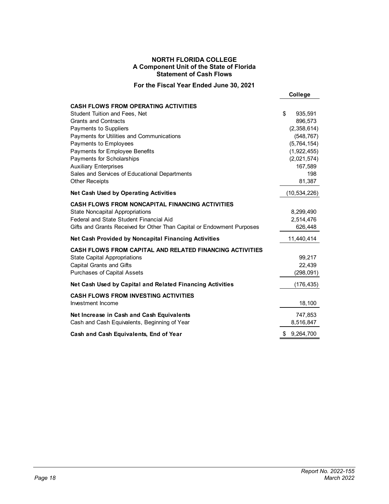#### **NORTH FLORIDA COLLEGE A Component Unit of the State of Florida Statement of Cash Flows**

## **For the Fiscal Year Ended June 30, 2021**

<span id="page-21-0"></span>

|                                                                                                                                                                                                                                                                                                                                                                                            | College                                                                                                                          |
|--------------------------------------------------------------------------------------------------------------------------------------------------------------------------------------------------------------------------------------------------------------------------------------------------------------------------------------------------------------------------------------------|----------------------------------------------------------------------------------------------------------------------------------|
| <b>CASH FLOWS FROM OPERATING ACTIVITIES</b><br><b>Student Tuition and Fees, Net</b><br><b>Grants and Contracts</b><br>Payments to Suppliers<br>Payments for Utilities and Communications<br>Payments to Employees<br>Payments for Employee Benefits<br>Payments for Scholarships<br><b>Auxiliary Enterprises</b><br>Sales and Services of Educational Departments<br><b>Other Receipts</b> | \$<br>935,591<br>896,573<br>(2,358,614)<br>(548, 767)<br>(5, 764, 154)<br>(1,922,455)<br>(2,021,574)<br>167,589<br>198<br>81,387 |
| <b>Net Cash Used by Operating Activities</b>                                                                                                                                                                                                                                                                                                                                               | (10, 534, 226)                                                                                                                   |
| <b>CASH FLOWS FROM NONCAPITAL FINANCING ACTIVITIES</b><br><b>State Noncapital Appropriations</b><br>Federal and State Student Financial Aid<br>Gifts and Grants Received for Other Than Capital or Endowment Purposes                                                                                                                                                                      | 8,299,490<br>2,514,476<br>626,448                                                                                                |
| Net Cash Provided by Noncapital Financing Activities                                                                                                                                                                                                                                                                                                                                       | 11,440,414                                                                                                                       |
| <b>CASH FLOWS FROM CAPITAL AND RELATED FINANCING ACTIVITIES</b><br><b>State Capital Appropriations</b><br><b>Capital Grants and Gifts</b><br><b>Purchases of Capital Assets</b>                                                                                                                                                                                                            | 99,217<br>22,439<br>(298, 091)                                                                                                   |
| Net Cash Used by Capital and Related Financing Activities                                                                                                                                                                                                                                                                                                                                  | (176, 435)                                                                                                                       |
| <b>CASH FLOWS FROM INVESTING ACTIVITIES</b><br>Investment Income                                                                                                                                                                                                                                                                                                                           | 18,100                                                                                                                           |
| Net Increase in Cash and Cash Equivalents<br>Cash and Cash Equivalents, Beginning of Year                                                                                                                                                                                                                                                                                                  | 747,853<br>8,516,847                                                                                                             |
| Cash and Cash Equivalents, End of Year                                                                                                                                                                                                                                                                                                                                                     | \$9,264,700                                                                                                                      |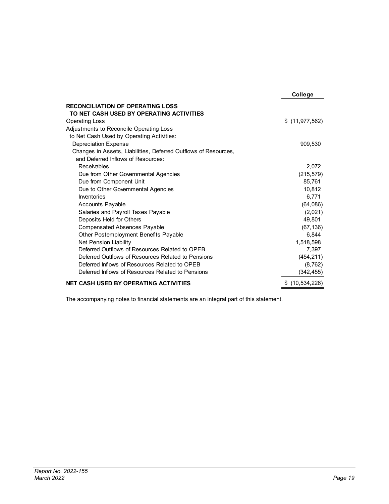|                                                                 | College              |
|-----------------------------------------------------------------|----------------------|
| <b>RECONCILIATION OF OPERATING LOSS</b>                         |                      |
| TO NET CASH USED BY OPERATING ACTIVITIES                        |                      |
| <b>Operating Loss</b>                                           | $$$ (11,977,562)     |
| Adjustments to Reconcile Operating Loss                         |                      |
| to Net Cash Used by Operating Activities:                       |                      |
| <b>Depreciation Expense</b>                                     | 909,530              |
| Changes in Assets, Liabilities, Deferred Outflows of Resources, |                      |
| and Deferred Inflows of Resources:                              |                      |
| Receivables                                                     | 2,072                |
| Due from Other Governmental Agencies                            | (215, 579)           |
| Due from Component Unit                                         | 85,761               |
| Due to Other Governmental Agencies                              | 10.812               |
| Inventories                                                     | 6,771                |
| <b>Accounts Payable</b>                                         | (64, 086)            |
| Salaries and Payroll Taxes Payable                              | (2,021)              |
| Deposits Held for Others                                        | 49,801               |
| <b>Compensated Absences Payable</b>                             | (67, 136)            |
| Other Postemployment Benefits Payable                           | 6,844                |
| <b>Net Pension Liability</b>                                    | 1.518.598            |
| Deferred Outflows of Resources Related to OPFB                  | 7,397                |
| Deferred Outflows of Resources Related to Pensions              | (454, 211)           |
| Deferred Inflows of Resources Related to OPEB                   | (8, 762)             |
| Deferred Inflows of Resources Related to Pensions               | (342, 455)           |
| <b>NET CASH USED BY OPERATING ACTIVITIES</b>                    | (10, 534, 226)<br>\$ |

The accompanying notes to financial statements are an integral part of this statement.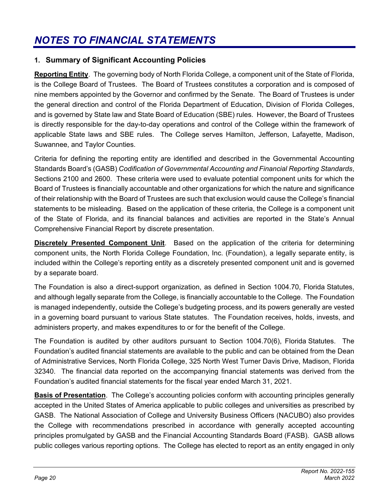## <span id="page-23-0"></span>*NOTES TO FINANCIAL STATEMENTS*

## **1. Summary of Significant Accounting Policies**

**Reporting Entity**. The governing body of North Florida College, a component unit of the State of Florida, is the College Board of Trustees. The Board of Trustees constitutes a corporation and is composed of nine members appointed by the Governor and confirmed by the Senate. The Board of Trustees is under the general direction and control of the Florida Department of Education, Division of Florida Colleges, and is governed by State law and State Board of Education (SBE) rules. However, the Board of Trustees is directly responsible for the day-to-day operations and control of the College within the framework of applicable State laws and SBE rules. The College serves Hamilton, Jefferson, Lafayette, Madison, Suwannee, and Taylor Counties.

Criteria for defining the reporting entity are identified and described in the Governmental Accounting Standards Board's (GASB) *Codification of Governmental Accounting and Financial Reporting Standards*, Sections 2100 and 2600. These criteria were used to evaluate potential component units for which the Board of Trustees is financially accountable and other organizations for which the nature and significance of their relationship with the Board of Trustees are such that exclusion would cause the College's financial statements to be misleading. Based on the application of these criteria, the College is a component unit of the State of Florida, and its financial balances and activities are reported in the State's Annual Comprehensive Financial Report by discrete presentation.

**Discretely Presented Component Unit**. Based on the application of the criteria for determining component units, the North Florida College Foundation, Inc. (Foundation), a legally separate entity, is included within the College's reporting entity as a discretely presented component unit and is governed by a separate board.

The Foundation is also a direct-support organization, as defined in Section 1004.70, Florida Statutes, and although legally separate from the College, is financially accountable to the College. The Foundation is managed independently, outside the College's budgeting process, and its powers generally are vested in a governing board pursuant to various State statutes. The Foundation receives, holds, invests, and administers property, and makes expenditures to or for the benefit of the College.

The Foundation is audited by other auditors pursuant to Section 1004.70(6), Florida Statutes. The Foundation's audited financial statements are available to the public and can be obtained from the Dean of Administrative Services, North Florida College, 325 North West Turner Davis Drive, Madison, Florida 32340. The financial data reported on the accompanying financial statements was derived from the Foundation's audited financial statements for the fiscal year ended March 31, 2021.

**Basis of Presentation**. The College's accounting policies conform with accounting principles generally accepted in the United States of America applicable to public colleges and universities as prescribed by GASB. The National Association of College and University Business Officers (NACUBO) also provides the College with recommendations prescribed in accordance with generally accepted accounting principles promulgated by GASB and the Financial Accounting Standards Board (FASB). GASB allows public colleges various reporting options. The College has elected to report as an entity engaged in only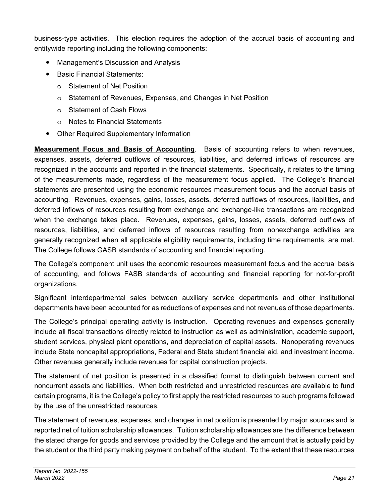business-type activities. This election requires the adoption of the accrual basis of accounting and entitywide reporting including the following components:

- Management's Discussion and Analysis
- Basic Financial Statements:
	- o Statement of Net Position
	- o Statement of Revenues, Expenses, and Changes in Net Position
	- o Statement of Cash Flows
	- o Notes to Financial Statements
- Other Required Supplementary Information

**Measurement Focus and Basis of Accounting**. Basis of accounting refers to when revenues, expenses, assets, deferred outflows of resources, liabilities, and deferred inflows of resources are recognized in the accounts and reported in the financial statements. Specifically, it relates to the timing of the measurements made, regardless of the measurement focus applied. The College's financial statements are presented using the economic resources measurement focus and the accrual basis of accounting. Revenues, expenses, gains, losses, assets, deferred outflows of resources, liabilities, and deferred inflows of resources resulting from exchange and exchange-like transactions are recognized when the exchange takes place. Revenues, expenses, gains, losses, assets, deferred outflows of resources, liabilities, and deferred inflows of resources resulting from nonexchange activities are generally recognized when all applicable eligibility requirements, including time requirements, are met. The College follows GASB standards of accounting and financial reporting.

The College's component unit uses the economic resources measurement focus and the accrual basis of accounting, and follows FASB standards of accounting and financial reporting for not-for-profit organizations.

Significant interdepartmental sales between auxiliary service departments and other institutional departments have been accounted for as reductions of expenses and not revenues of those departments.

The College's principal operating activity is instruction. Operating revenues and expenses generally include all fiscal transactions directly related to instruction as well as administration, academic support, student services, physical plant operations, and depreciation of capital assets. Nonoperating revenues include State noncapital appropriations, Federal and State student financial aid, and investment income. Other revenues generally include revenues for capital construction projects.

The statement of net position is presented in a classified format to distinguish between current and noncurrent assets and liabilities. When both restricted and unrestricted resources are available to fund certain programs, it is the College's policy to first apply the restricted resources to such programs followed by the use of the unrestricted resources.

The statement of revenues, expenses, and changes in net position is presented by major sources and is reported net of tuition scholarship allowances. Tuition scholarship allowances are the difference between the stated charge for goods and services provided by the College and the amount that is actually paid by the student or the third party making payment on behalf of the student. To the extent that these resources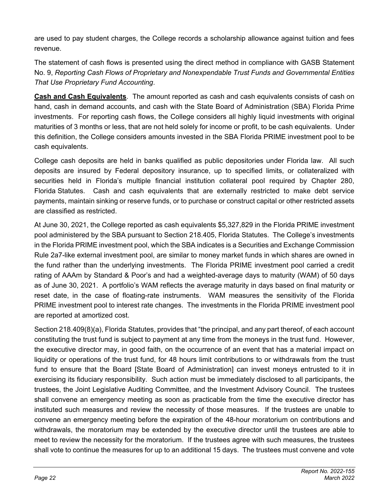are used to pay student charges, the College records a scholarship allowance against tuition and fees revenue.

The statement of cash flows is presented using the direct method in compliance with GASB Statement No. 9, *Reporting Cash Flows of Proprietary and Nonexpendable Trust Funds and Governmental Entities That Use Proprietary Fund Accounting*.

**Cash and Cash Equivalents**. The amount reported as cash and cash equivalents consists of cash on hand, cash in demand accounts, and cash with the State Board of Administration (SBA) Florida Prime investments. For reporting cash flows, the College considers all highly liquid investments with original maturities of 3 months or less, that are not held solely for income or profit, to be cash equivalents. Under this definition, the College considers amounts invested in the SBA Florida PRIME investment pool to be cash equivalents.

College cash deposits are held in banks qualified as public depositories under Florida law. All such deposits are insured by Federal depository insurance, up to specified limits, or collateralized with securities held in Florida's multiple financial institution collateral pool required by Chapter 280, Florida Statutes. Cash and cash equivalents that are externally restricted to make debt service payments, maintain sinking or reserve funds, or to purchase or construct capital or other restricted assets are classified as restricted.

At June 30, 2021, the College reported as cash equivalents \$5,327,829 in the Florida PRIME investment pool administered by the SBA pursuant to Section 218.405, Florida Statutes. The College's investments in the Florida PRIME investment pool, which the SBA indicates is a Securities and Exchange Commission Rule 2a7-like external investment pool, are similar to money market funds in which shares are owned in the fund rather than the underlying investments. The Florida PRIME investment pool carried a credit rating of AAAm by Standard & Poor's and had a weighted-average days to maturity (WAM) of 50 days as of June 30, 2021. A portfolio's WAM reflects the average maturity in days based on final maturity or reset date, in the case of floating-rate instruments. WAM measures the sensitivity of the Florida PRIME investment pool to interest rate changes. The investments in the Florida PRIME investment pool are reported at amortized cost.

Section 218.409(8)(a), Florida Statutes, provides that "the principal, and any part thereof, of each account constituting the trust fund is subject to payment at any time from the moneys in the trust fund. However, the executive director may, in good faith, on the occurrence of an event that has a material impact on liquidity or operations of the trust fund, for 48 hours limit contributions to or withdrawals from the trust fund to ensure that the Board [State Board of Administration] can invest moneys entrusted to it in exercising its fiduciary responsibility. Such action must be immediately disclosed to all participants, the trustees, the Joint Legislative Auditing Committee, and the Investment Advisory Council. The trustees shall convene an emergency meeting as soon as practicable from the time the executive director has instituted such measures and review the necessity of those measures. If the trustees are unable to convene an emergency meeting before the expiration of the 48-hour moratorium on contributions and withdrawals, the moratorium may be extended by the executive director until the trustees are able to meet to review the necessity for the moratorium. If the trustees agree with such measures, the trustees shall vote to continue the measures for up to an additional 15 days. The trustees must convene and vote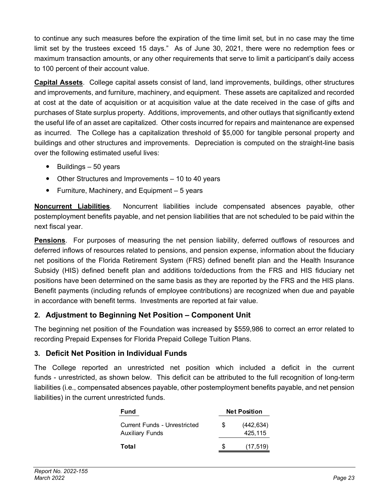to continue any such measures before the expiration of the time limit set, but in no case may the time limit set by the trustees exceed 15 days." As of June 30, 2021, there were no redemption fees or maximum transaction amounts, or any other requirements that serve to limit a participant's daily access to 100 percent of their account value.

**Capital Assets**. College capital assets consist of land, land improvements, buildings, other structures and improvements, and furniture, machinery, and equipment. These assets are capitalized and recorded at cost at the date of acquisition or at acquisition value at the date received in the case of gifts and purchases of State surplus property. Additions, improvements, and other outlays that significantly extend the useful life of an asset are capitalized. Other costs incurred for repairs and maintenance are expensed as incurred. The College has a capitalization threshold of \$5,000 for tangible personal property and buildings and other structures and improvements. Depreciation is computed on the straight-line basis over the following estimated useful lives:

- $\bullet$  Buildings 50 years
- Other Structures and Improvements 10 to 40 years
- $\bullet$  Furniture, Machinery, and Equipment  $-5$  years

**Noncurrent Liabilities**. Noncurrent liabilities include compensated absences payable, other postemployment benefits payable, and net pension liabilities that are not scheduled to be paid within the next fiscal year.

**Pensions**. For purposes of measuring the net pension liability, deferred outflows of resources and deferred inflows of resources related to pensions, and pension expense, information about the fiduciary net positions of the Florida Retirement System (FRS) defined benefit plan and the Health Insurance Subsidy (HIS) defined benefit plan and additions to/deductions from the FRS and HIS fiduciary net positions have been determined on the same basis as they are reported by the FRS and the HIS plans. Benefit payments (including refunds of employee contributions) are recognized when due and payable in accordance with benefit terms. Investments are reported at fair value.

## **2. Adjustment to Beginning Net Position – Component Unit**

The beginning net position of the Foundation was increased by \$559,986 to correct an error related to recording Prepaid Expenses for Florida Prepaid College Tuition Plans.

## **3. Deficit Net Position in Individual Funds**

The College reported an unrestricted net position which included a deficit in the current funds - unrestricted, as shown below. This deficit can be attributed to the full recognition of long-term liabilities (i.e., compensated absences payable, other postemployment benefits payable, and net pension liabilities) in the current unrestricted funds.

| <b>Fund</b>                                                   |     | <b>Net Position</b>   |  |  |
|---------------------------------------------------------------|-----|-----------------------|--|--|
| <b>Current Funds - Unrestricted</b><br><b>Auxiliary Funds</b> | \$. | (442, 634)<br>425.115 |  |  |
| Total                                                         | \$. | (17, 519)             |  |  |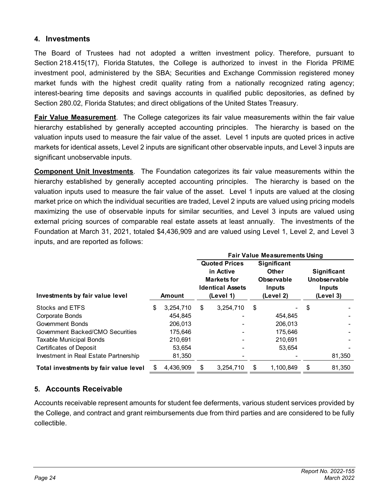## **4. Investments**

The Board of Trustees had not adopted a written investment policy. Therefore, pursuant to Section 218.415(17), Florida Statutes, the College is authorized to invest in the Florida PRIME investment pool, administered by the SBA; Securities and Exchange Commission registered money market funds with the highest credit quality rating from a nationally recognized rating agency; interest-bearing time deposits and savings accounts in qualified public depositories, as defined by Section 280.02, Florida Statutes; and direct obligations of the United States Treasury.

**Fair Value Measurement**. The College categorizes its fair value measurements within the fair value hierarchy established by generally accepted accounting principles. The hierarchy is based on the valuation inputs used to measure the fair value of the asset. Level 1 inputs are quoted prices in active markets for identical assets, Level 2 inputs are significant other observable inputs, and Level 3 inputs are significant unobservable inputs.

**Component Unit Investments**. The Foundation categorizes its fair value measurements within the hierarchy established by generally accepted accounting principles. The hierarchy is based on the valuation inputs used to measure the fair value of the asset. Level 1 inputs are valued at the closing market price on which the individual securities are traded, Level 2 inputs are valued using pricing models maximizing the use of observable inputs for similar securities, and Level 3 inputs are valued using external pricing sources of comparable real estate assets at least annually. The investments of the Foundation at March 31, 2021, totaled \$4,436,909 and are valued using Level 1, Level 2, and Level 3 inputs, and are reported as follows:

|                                       |   |               | <b>Fair Value Measurements Using</b> |                                                                                                 |   |                                                                                |    |                                                           |
|---------------------------------------|---|---------------|--------------------------------------|-------------------------------------------------------------------------------------------------|---|--------------------------------------------------------------------------------|----|-----------------------------------------------------------|
| Investments by fair value level       |   | <b>Amount</b> |                                      | <b>Quoted Prices</b><br>in Active<br><b>Markets for</b><br><b>Identical Assets</b><br>(Level 1) |   | Significant<br><b>Other</b><br><b>Observable</b><br><b>Inputs</b><br>(Level 2) |    | <b>Significant</b><br>Unobservable<br>Inputs<br>(Level 3) |
| Stocks and ETFS                       | S | 3.254.710     | \$                                   | 3.254.710                                                                                       | S |                                                                                | \$ |                                                           |
| Corporate Bonds                       |   | 454,845       |                                      |                                                                                                 |   | 454,845                                                                        |    |                                                           |
| <b>Government Bonds</b>               |   | 206.013       |                                      |                                                                                                 |   | 206.013                                                                        |    |                                                           |
| Government Backed/CMO Securities      |   | 175,646       |                                      |                                                                                                 |   | 175.646                                                                        |    |                                                           |
| <b>Taxable Municipal Bonds</b>        |   | 210.691       |                                      |                                                                                                 |   | 210,691                                                                        |    |                                                           |
| Certificates of Deposit               |   | 53,654        |                                      |                                                                                                 |   | 53,654                                                                         |    |                                                           |
| Investment in Real Estate Partnership |   | 81,350        |                                      |                                                                                                 |   |                                                                                |    | 81,350                                                    |
| Total investments by fair value level | S | 4,436,909     | S                                    | 3,254,710                                                                                       | S | 1,100,849                                                                      | \$ | 81,350                                                    |

## **5. Accounts Receivable**

Accounts receivable represent amounts for student fee deferments, various student services provided by the College, and contract and grant reimbursements due from third parties and are considered to be fully collectible.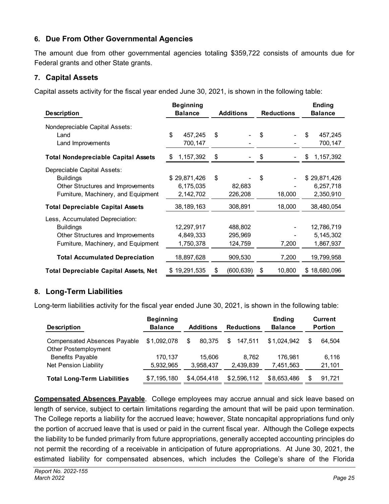## **6. Due From Other Governmental Agencies**

The amount due from other governmental agencies totaling \$359,722 consists of amounts due for Federal grants and other State grants.

## **7. Capital Assets**

Capital assets activity for the fiscal year ended June 30, 2021, is shown in the following table:

| <b>Description</b>                           | <b>Beginning</b><br><b>Balance</b> | <b>Additions</b> | <b>Reductions</b> | Ending<br><b>Balance</b> |
|----------------------------------------------|------------------------------------|------------------|-------------------|--------------------------|
| Nondepreciable Capital Assets:               |                                    |                  |                   |                          |
| Land                                         | \$<br>457,245                      | \$               | \$                | \$<br>457,245            |
| Land Improvements                            | 700,147                            |                  |                   | 700,147                  |
| <b>Total Nondepreciable Capital Assets</b>   | 1, 157, 392<br>\$                  | \$               | \$                | 1, 157, 392<br>\$        |
| Depreciable Capital Assets:                  |                                    |                  |                   |                          |
| <b>Buildings</b>                             | \$29,871,426                       | \$               | \$                | \$29,871,426             |
| Other Structures and Improvements            | 6,175,035                          | 82,683           |                   | 6,257,718                |
| Furniture, Machinery, and Equipment          | 2,142,702                          | 226,208          | 18,000            | 2,350,910                |
| <b>Total Depreciable Capital Assets</b>      | 38, 189, 163                       | 308,891          | 18,000            | 38,480,054               |
| Less, Accumulated Depreciation:              |                                    |                  |                   |                          |
| <b>Buildings</b>                             | 12,297,917                         | 488,802          |                   | 12,786,719               |
| Other Structures and Improvements            | 4,849,333                          | 295,969          |                   | 5, 145, 302              |
| Furniture, Machinery, and Equipment          | 1,750,378                          | 124,759          | 7,200             | 1,867,937                |
| <b>Total Accumulated Depreciation</b>        | 18,897,628                         | 909,530          | 7,200             | 19,799,958               |
| <b>Total Depreciable Capital Assets, Net</b> | \$19,291,535                       | (600, 639)<br>S  | \$<br>10,800      | 18,680,096<br>\$         |

## **8. Long-Term Liabilities**

Long-term liabilities activity for the fiscal year ended June 30, 2021, is shown in the following table:

| <b>Description</b>                                          | <b>Beginning</b><br><b>Balance</b> | <b>Additions</b> | <b>Reductions</b> | <b>Ending</b><br><b>Balance</b> |    | <b>Current</b><br><b>Portion</b> |
|-------------------------------------------------------------|------------------------------------|------------------|-------------------|---------------------------------|----|----------------------------------|
| <b>Compensated Absences Payable</b><br>Other Postemployment | \$1,092,078                        | 80.375<br>\$     | 147.511<br>\$     | \$1.024.942                     | S  | 64,504                           |
| <b>Benefits Payable</b>                                     | 170.137                            | 15.606           | 8.762             | 176.981                         |    | 6,116                            |
| Net Pension Liability                                       | 5,932,965                          | 3,958,437        | 2,439,839         | 7,451,563                       |    | 21,101                           |
| <b>Total Long-Term Liabilities</b>                          | \$7,195,180                        | \$4,054,418      | \$2,596,112       | \$8,653,486                     | \$ | 91.721                           |

**Compensated Absences Payable**. College employees may accrue annual and sick leave based on length of service, subject to certain limitations regarding the amount that will be paid upon termination. The College reports a liability for the accrued leave; however, State noncapital appropriations fund only the portion of accrued leave that is used or paid in the current fiscal year. Although the College expects the liability to be funded primarily from future appropriations, generally accepted accounting principles do not permit the recording of a receivable in anticipation of future appropriations. At June 30, 2021, the estimated liability for compensated absences, which includes the College's share of the Florida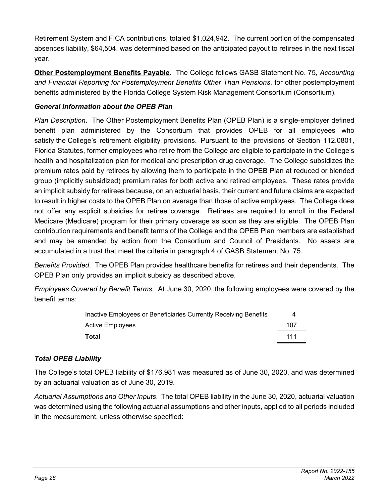Retirement System and FICA contributions, totaled \$1,024,942. The current portion of the compensated absences liability, \$64,504, was determined based on the anticipated payout to retirees in the next fiscal year.

**Other Postemployment Benefits Payable**. The College follows GASB Statement No. 75, *Accounting and Financial Reporting for Postemployment Benefits Other Than Pensions*, for other postemployment benefits administered by the Florida College System Risk Management Consortium (Consortium).

## *General Information about the OPEB Plan*

*Plan Description*. The Other Postemployment Benefits Plan (OPEB Plan) is a single-employer defined benefit plan administered by the Consortium that provides OPEB for all employees who satisfy the College's retirement eligibility provisions. Pursuant to the provisions of Section 112.0801, Florida Statutes, former employees who retire from the College are eligible to participate in the College's health and hospitalization plan for medical and prescription drug coverage. The College subsidizes the premium rates paid by retirees by allowing them to participate in the OPEB Plan at reduced or blended group (implicitly subsidized) premium rates for both active and retired employees. These rates provide an implicit subsidy for retirees because, on an actuarial basis, their current and future claims are expected to result in higher costs to the OPEB Plan on average than those of active employees. The College does not offer any explicit subsidies for retiree coverage. Retirees are required to enroll in the Federal Medicare (Medicare) program for their primary coverage as soon as they are eligible. The OPEB Plan contribution requirements and benefit terms of the College and the OPEB Plan members are established and may be amended by action from the Consortium and Council of Presidents. No assets are accumulated in a trust that meet the criteria in paragraph 4 of GASB Statement No. 75.

*Benefits Provided*. The OPEB Plan provides healthcare benefits for retirees and their dependents. The OPEB Plan only provides an implicit subsidy as described above.

*Employees Covered by Benefit Terms*. At June 30, 2020, the following employees were covered by the benefit terms:

| Inactive Employees or Beneficiaries Currently Receiving Benefits | 4   |  |
|------------------------------------------------------------------|-----|--|
| Active Employees                                                 | 107 |  |
| Total                                                            | 111 |  |

## *Total OPEB Liability*

The College's total OPEB liability of \$176,981 was measured as of June 30, 2020, and was determined by an actuarial valuation as of June 30, 2019.

*Actuarial Assumptions and Other Inputs*. The total OPEB liability in the June 30, 2020, actuarial valuation was determined using the following actuarial assumptions and other inputs, applied to all periods included in the measurement, unless otherwise specified: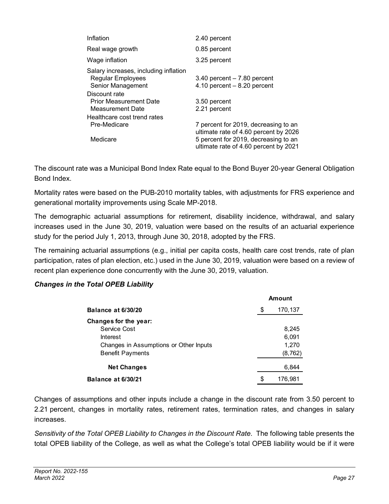| Inflation                                                                              | 2.40 percent                                                                  |
|----------------------------------------------------------------------------------------|-------------------------------------------------------------------------------|
| Real wage growth                                                                       | 0.85 percent                                                                  |
| Wage inflation                                                                         | 3.25 percent                                                                  |
| Salary increases, including inflation<br><b>Regular Employees</b><br>Senior Management | $3.40$ percent $-7.80$ percent<br>$4.10$ percent $-8.20$ percent              |
| Discount rate<br><b>Prior Measurement Date</b><br>Measurement Date                     | 3.50 percent<br>2.21 percent                                                  |
| Healthcare cost trend rates                                                            |                                                                               |
| Pre-Medicare                                                                           | 7 percent for 2019, decreasing to an<br>ultimate rate of 4.60 percent by 2026 |
| Medicare                                                                               | 5 percent for 2019, decreasing to an<br>ultimate rate of 4.60 percent by 2021 |

The discount rate was a Municipal Bond Index Rate equal to the Bond Buyer 20-year General Obligation Bond Index.

Mortality rates were based on the PUB-2010 mortality tables, with adjustments for FRS experience and generational mortality improvements using Scale MP-2018.

The demographic actuarial assumptions for retirement, disability incidence, withdrawal, and salary increases used in the June 30, 2019, valuation were based on the results of an actuarial experience study for the period July 1, 2013, through June 30, 2018, adopted by the FRS.

The remaining actuarial assumptions (e.g., initial per capita costs, health care cost trends, rate of plan participation, rates of plan election, etc.) used in the June 30, 2019, valuation were based on a review of recent plan experience done concurrently with the June 30, 2019, valuation.

## *Changes in the Total OPEB Liability*

|                                        | Amount        |
|----------------------------------------|---------------|
| Balance at 6/30/20                     | \$<br>170,137 |
| Changes for the year:                  |               |
| Service Cost                           | 8,245         |
| Interest                               | 6,091         |
| Changes in Assumptions or Other Inputs | 1,270         |
| <b>Benefit Payments</b>                | (8, 762)      |
| <b>Net Changes</b>                     | 6,844         |
| Balance at 6/30/21                     | \$<br>176,981 |

Changes of assumptions and other inputs include a change in the discount rate from 3.50 percent to 2.21 percent, changes in mortality rates, retirement rates, termination rates, and changes in salary increases.

*Sensitivity of the Total OPEB Liability to Changes in the Discount Rate*. The following table presents the total OPEB liability of the College, as well as what the College's total OPEB liability would be if it were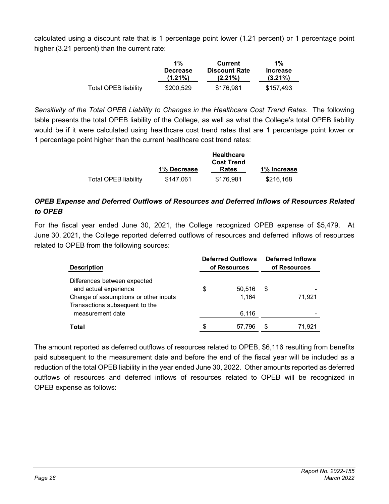calculated using a discount rate that is 1 percentage point lower (1.21 percent) or 1 percentage point higher (3.21 percent) than the current rate:

|                      | $1\%$           | <b>Current</b>       | $1\%$           |
|----------------------|-----------------|----------------------|-----------------|
|                      | <b>Decrease</b> | <b>Discount Rate</b> | <b>Increase</b> |
|                      | $(1.21\%)$      | $(2.21\%)$           | $(3.21\%)$      |
| Total OPEB liability | \$200.529       | \$176.981            | \$157.493       |

*Sensitivity of the Total OPEB Liability to Changes in the Healthcare Cost Trend Rates*. The following table presents the total OPEB liability of the College, as well as what the College's total OPEB liability would be if it were calculated using healthcare cost trend rates that are 1 percentage point lower or 1 percentage point higher than the current healthcare cost trend rates:

|                             |             | <b>Healthcare</b><br><b>Cost Trend</b> |             |
|-----------------------------|-------------|----------------------------------------|-------------|
|                             | 1% Decrease | <b>Rates</b>                           | 1% Increase |
| <b>Total OPEB liability</b> | \$147.061   | \$176.981                              | \$216,168   |

## *OPEB Expense and Deferred Outflows of Resources and Deferred Inflows of Resources Related to OPEB*

For the fiscal year ended June 30, 2021, the College recognized OPEB expense of \$5,479. At June 30, 2021, the College reported deferred outflows of resources and deferred inflows of resources related to OPEB from the following sources:

| <b>Description</b>                                    | <b>Deferred Outflows</b><br>of Resources |        | Deferred Inflows<br>of Resources |        |
|-------------------------------------------------------|------------------------------------------|--------|----------------------------------|--------|
| Differences between expected<br>and actual experience | \$                                       | 50,516 | \$                               |        |
| Change of assumptions or other inputs                 |                                          | 1.164  |                                  | 71.921 |
| Transactions subsequent to the<br>measurement date    |                                          | 6,116  |                                  |        |
| Total                                                 | \$                                       | 57,796 | S                                | 71,921 |

The amount reported as deferred outflows of resources related to OPEB, \$6,116 resulting from benefits paid subsequent to the measurement date and before the end of the fiscal year will be included as a reduction of the total OPEB liability in the year ended June 30, 2022. Other amounts reported as deferred outflows of resources and deferred inflows of resources related to OPEB will be recognized in OPEB expense as follows: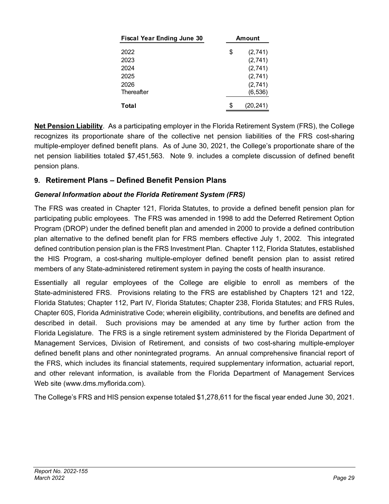| <b>Fiscal Year Ending June 30</b> |    | <b>Amount</b> |
|-----------------------------------|----|---------------|
| 2022                              | \$ | (2,741)       |
| 2023                              |    | (2,741)       |
| 2024                              |    | (2,741)       |
| 2025                              |    | (2,741)       |
| 2026                              |    | (2,741)       |
| Thereafter                        |    | (6, 536)      |
| Total                             | S  | (20, 241)     |

**Net Pension Liability**. As a participating employer in the Florida Retirement System (FRS), the College recognizes its proportionate share of the collective net pension liabilities of the FRS cost-sharing multiple-employer defined benefit plans. As of June 30, 2021, the College's proportionate share of the net pension liabilities totaled \$7,451,563. Note 9. includes a complete discussion of defined benefit pension plans.

## **9. Retirement Plans – Defined Benefit Pension Plans**

## *General Information about the Florida Retirement System (FRS)*

The FRS was created in Chapter 121, Florida Statutes, to provide a defined benefit pension plan for participating public employees. The FRS was amended in 1998 to add the Deferred Retirement Option Program (DROP) under the defined benefit plan and amended in 2000 to provide a defined contribution plan alternative to the defined benefit plan for FRS members effective July 1, 2002. This integrated defined contribution pension plan is the FRS Investment Plan. Chapter 112, Florida Statutes, established the HIS Program, a cost-sharing multiple-employer defined benefit pension plan to assist retired members of any State-administered retirement system in paying the costs of health insurance.

Essentially all regular employees of the College are eligible to enroll as members of the State-administered FRS. Provisions relating to the FRS are established by Chapters 121 and 122, Florida Statutes; Chapter 112, Part IV, Florida Statutes; Chapter 238, Florida Statutes; and FRS Rules, Chapter 60S, Florida Administrative Code; wherein eligibility, contributions, and benefits are defined and described in detail. Such provisions may be amended at any time by further action from the Florida Legislature. The FRS is a single retirement system administered by the Florida Department of Management Services, Division of Retirement, and consists of two cost-sharing multiple-employer defined benefit plans and other nonintegrated programs. An annual comprehensive financial report of the FRS, which includes its financial statements, required supplementary information, actuarial report, and other relevant information, is available from the Florida Department of Management Services Web site (www.dms.myflorida.com).

The College's FRS and HIS pension expense totaled \$1,278,611 for the fiscal year ended June 30, 2021.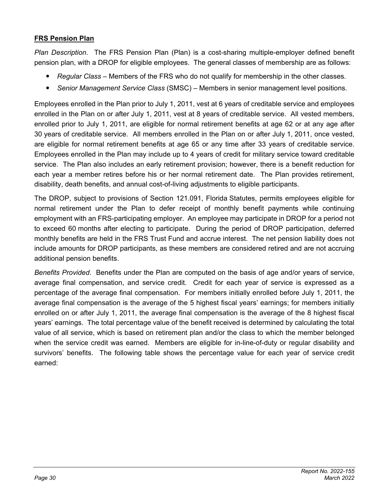## **FRS Pension Plan**

*Plan Description*. The FRS Pension Plan (Plan) is a cost-sharing multiple-employer defined benefit pension plan, with a DROP for eligible employees. The general classes of membership are as follows:

- *Regular Class* Members of the FRS who do not qualify for membership in the other classes.
- *Senior Management Service Class* (SMSC) Members in senior management level positions.

Employees enrolled in the Plan prior to July 1, 2011, vest at 6 years of creditable service and employees enrolled in the Plan on or after July 1, 2011, vest at 8 years of creditable service. All vested members, enrolled prior to July 1, 2011, are eligible for normal retirement benefits at age 62 or at any age after 30 years of creditable service. All members enrolled in the Plan on or after July 1, 2011, once vested, are eligible for normal retirement benefits at age 65 or any time after 33 years of creditable service. Employees enrolled in the Plan may include up to 4 years of credit for military service toward creditable service. The Plan also includes an early retirement provision; however, there is a benefit reduction for each year a member retires before his or her normal retirement date. The Plan provides retirement, disability, death benefits, and annual cost-of-living adjustments to eligible participants.

The DROP, subject to provisions of Section 121.091, Florida Statutes, permits employees eligible for normal retirement under the Plan to defer receipt of monthly benefit payments while continuing employment with an FRS-participating employer. An employee may participate in DROP for a period not to exceed 60 months after electing to participate. During the period of DROP participation, deferred monthly benefits are held in the FRS Trust Fund and accrue interest. The net pension liability does not include amounts for DROP participants, as these members are considered retired and are not accruing additional pension benefits.

*Benefits Provided*. Benefits under the Plan are computed on the basis of age and/or years of service, average final compensation, and service credit. Credit for each year of service is expressed as a percentage of the average final compensation. For members initially enrolled before July 1, 2011, the average final compensation is the average of the 5 highest fiscal years' earnings; for members initially enrolled on or after July 1, 2011, the average final compensation is the average of the 8 highest fiscal years' earnings. The total percentage value of the benefit received is determined by calculating the total value of all service, which is based on retirement plan and/or the class to which the member belonged when the service credit was earned. Members are eligible for in-line-of-duty or regular disability and survivors' benefits. The following table shows the percentage value for each year of service credit earned: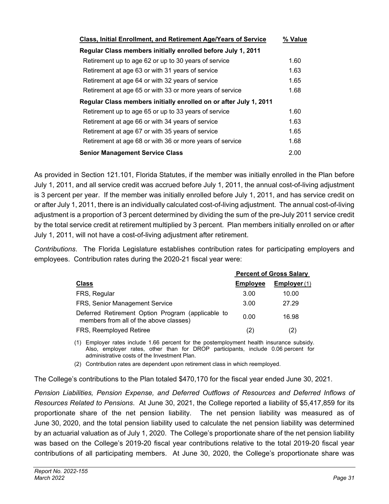| Class, Initial Enrollment, and Retirement Age/Years of Service    | % Value |
|-------------------------------------------------------------------|---------|
| Regular Class members initially enrolled before July 1, 2011      |         |
| Retirement up to age 62 or up to 30 years of service              | 1.60    |
| Retirement at age 63 or with 31 years of service                  | 1.63    |
| Retirement at age 64 or with 32 years of service                  | 1.65    |
| Retirement at age 65 or with 33 or more years of service          | 1.68    |
| Regular Class members initially enrolled on or after July 1, 2011 |         |
| Retirement up to age 65 or up to 33 years of service              | 1.60    |
| Retirement at age 66 or with 34 years of service                  | 1.63    |
| Retirement at age 67 or with 35 years of service                  | 1.65    |
| Retirement at age 68 or with 36 or more years of service          | 1.68    |
| <b>Senior Management Service Class</b>                            | 2.00    |

As provided in Section 121.101, Florida Statutes, if the member was initially enrolled in the Plan before July 1, 2011, and all service credit was accrued before July 1, 2011, the annual cost-of-living adjustment is 3 percent per year. If the member was initially enrolled before July 1, 2011, and has service credit on or after July 1, 2011, there is an individually calculated cost-of-living adjustment. The annual cost-of-living adjustment is a proportion of 3 percent determined by dividing the sum of the pre-July 2011 service credit by the total service credit at retirement multiplied by 3 percent. Plan members initially enrolled on or after July 1, 2011, will not have a cost-of-living adjustment after retirement.

*Contributions*. The Florida Legislature establishes contribution rates for participating employers and employees. Contribution rates during the 2020-21 fiscal year were:

|                                                                                             |                 | <b>Percent of Gross Salary</b> |
|---------------------------------------------------------------------------------------------|-----------------|--------------------------------|
| <b>Class</b>                                                                                | <b>Employee</b> | Employer $(1)$                 |
| FRS, Regular                                                                                | 3.00            | 10.00                          |
| <b>FRS, Senior Management Service</b>                                                       | 3.00            | 27.29                          |
| Deferred Retirement Option Program (applicable to<br>members from all of the above classes) | 0.00            | 16.98                          |
| FRS, Reemployed Retiree                                                                     | (2)             | (2)                            |

(1) Employer rates include 1.66 percent for the postemployment health insurance subsidy. Also, employer rates, other than for DROP participants, include 0.06 percent for administrative costs of the Investment Plan.

(2) Contribution rates are dependent upon retirement class in which reemployed.

The College's contributions to the Plan totaled \$470,170 for the fiscal year ended June 30, 2021.

*Pension Liabilities, Pension Expense, and Deferred Outflows of Resources and Deferred Inflows of Resources Related to Pensions*. At June 30, 2021, the College reported a liability of \$5,417,859 for its proportionate share of the net pension liability. The net pension liability was measured as of June 30, 2020, and the total pension liability used to calculate the net pension liability was determined by an actuarial valuation as of July 1, 2020. The College's proportionate share of the net pension liability was based on the College's 2019-20 fiscal year contributions relative to the total 2019-20 fiscal year contributions of all participating members. At June 30, 2020, the College's proportionate share was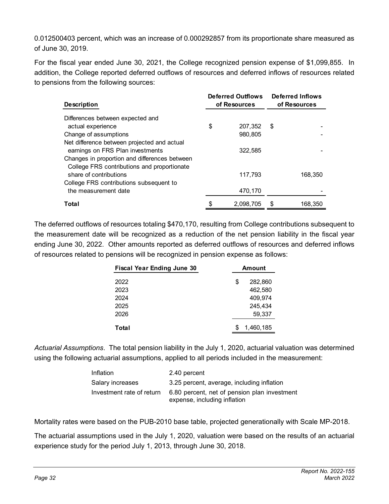0.012500403 percent, which was an increase of 0.000292857 from its proportionate share measured as of June 30, 2019.

For the fiscal year ended June 30, 2021, the College recognized pension expense of \$1,099,855. In addition, the College reported deferred outflows of resources and deferred inflows of resources related to pensions from the following sources:

| <b>Description</b>                                                                           | <b>Deferred Outflows</b><br>of Resources |           | <b>Deferred Inflows</b><br>of Resources |         |
|----------------------------------------------------------------------------------------------|------------------------------------------|-----------|-----------------------------------------|---------|
| Differences between expected and                                                             |                                          |           |                                         |         |
| actual experience                                                                            | \$                                       | 207,352   | \$                                      |         |
| Change of assumptions                                                                        |                                          | 980,805   |                                         |         |
| Net difference between projected and actual<br>earnings on FRS Plan investments              |                                          | 322,585   |                                         |         |
| Changes in proportion and differences between<br>College FRS contributions and proportionate |                                          |           |                                         |         |
| share of contributions                                                                       |                                          | 117.793   |                                         | 168,350 |
| College FRS contributions subsequent to                                                      |                                          |           |                                         |         |
| the measurement date                                                                         |                                          | 470.170   |                                         |         |
| Total                                                                                        |                                          | 2,098,705 |                                         | 168,350 |

The deferred outflows of resources totaling \$470,170, resulting from College contributions subsequent to the measurement date will be recognized as a reduction of the net pension liability in the fiscal year ending June 30, 2022. Other amounts reported as deferred outflows of resources and deferred inflows of resources related to pensions will be recognized in pension expense as follows:

| <b>Fiscal Year Ending June 30</b> |    | <b>Amount</b> |
|-----------------------------------|----|---------------|
| 2022                              | \$ | 282,860       |
| 2023                              |    | 462,580       |
| 2024                              |    | 409.974       |
| 2025                              |    | 245,434       |
| 2026                              |    | 59,337        |
| Total                             |    | 1,460,185     |

*Actuarial Assumptions*. The total pension liability in the July 1, 2020, actuarial valuation was determined using the following actuarial assumptions, applied to all periods included in the measurement:

| Inflation                 | 2.40 percent                                                                 |
|---------------------------|------------------------------------------------------------------------------|
| Salary increases          | 3.25 percent, average, including inflation                                   |
| Investment rate of return | 6.80 percent, net of pension plan investment<br>expense, including inflation |

Mortality rates were based on the PUB-2010 base table, projected generationally with Scale MP-2018.

The actuarial assumptions used in the July 1, 2020, valuation were based on the results of an actuarial experience study for the period July 1, 2013, through June 30, 2018.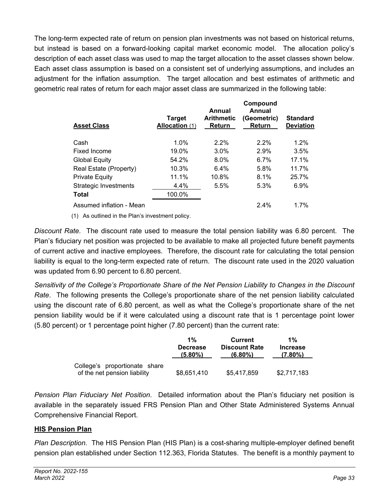The long-term expected rate of return on pension plan investments was not based on historical returns, but instead is based on a forward-looking capital market economic model. The allocation policy's description of each asset class was used to map the target allocation to the asset classes shown below. Each asset class assumption is based on a consistent set of underlying assumptions, and includes an adjustment for the inflation assumption. The target allocation and best estimates of arithmetic and geometric real rates of return for each major asset class are summarized in the following table:

| Asset Class              | <b>Target</b><br>Allocation (1) | Annual<br><b>Arithmetic</b><br><b>Return</b> | Compound<br>Annual<br>(Geometric)<br>Return | <b>Standard</b><br><b>Deviation</b> |
|--------------------------|---------------------------------|----------------------------------------------|---------------------------------------------|-------------------------------------|
| Cash                     | 1.0%                            | 2.2%                                         | $2.2\%$                                     | 1.2%                                |
| Fixed Income             | 19.0%                           | 3.0%                                         | 2.9%                                        | 3.5%                                |
| <b>Global Equity</b>     | 54.2%                           | 8.0%                                         | 6.7%                                        | 17.1%                               |
| Real Estate (Property)   | 10.3%                           | 6.4%                                         | 5.8%                                        | 11.7%                               |
| <b>Private Equity</b>    | 11.1%                           | 10.8%                                        | 8.1%                                        | 25.7%                               |
| Strategic Investments    | 4.4%                            | 5.5%                                         | 5.3%                                        | 6.9%                                |
| Total                    | 100.0%                          |                                              |                                             |                                     |
| Assumed inflation - Mean |                                 |                                              | 2.4%                                        | 1.7%                                |
|                          |                                 |                                              |                                             |                                     |

(1) As outlined in the Plan's investment policy.

*Discount Rate*. The discount rate used to measure the total pension liability was 6.80 percent. The Plan's fiduciary net position was projected to be available to make all projected future benefit payments of current active and inactive employees. Therefore, the discount rate for calculating the total pension liability is equal to the long-term expected rate of return. The discount rate used in the 2020 valuation was updated from 6.90 percent to 6.80 percent.

*Sensitivity of the College's Proportionate Share of the Net Pension Liability to Changes in the Discount Rate*. The following presents the College's proportionate share of the net pension liability calculated using the discount rate of 6.80 percent, as well as what the College's proportionate share of the net pension liability would be if it were calculated using a discount rate that is 1 percentage point lower (5.80 percent) or 1 percentage point higher (7.80 percent) than the current rate:

|                                                               | $1\%$           | Current              | 1%              |
|---------------------------------------------------------------|-----------------|----------------------|-----------------|
|                                                               | <b>Decrease</b> | <b>Discount Rate</b> | <b>Increase</b> |
|                                                               | $(5.80\%)$      | $(6.80\%)$           | $(7.80\%)$      |
| College's proportionate share<br>of the net pension liability | \$8,651,410     | \$5,417,859          | \$2,717,183     |

*Pension Plan Fiduciary Net Position*. Detailed information about the Plan's fiduciary net position is available in the separately issued FRS Pension Plan and Other State Administered Systems Annual Comprehensive Financial Report.

## **HIS Pension Plan**

*Plan Description*. The HIS Pension Plan (HIS Plan) is a cost-sharing multiple-employer defined benefit pension plan established under Section 112.363, Florida Statutes. The benefit is a monthly payment to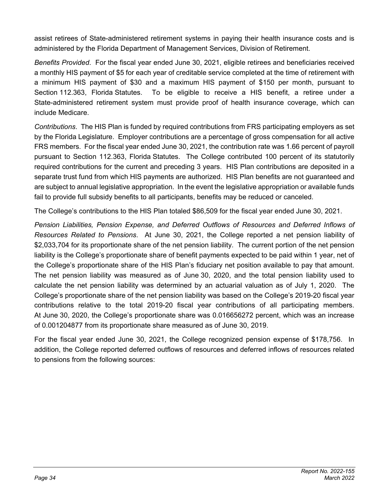assist retirees of State-administered retirement systems in paying their health insurance costs and is administered by the Florida Department of Management Services, Division of Retirement.

*Benefits Provided*. For the fiscal year ended June 30, 2021, eligible retirees and beneficiaries received a monthly HIS payment of \$5 for each year of creditable service completed at the time of retirement with a minimum HIS payment of \$30 and a maximum HIS payment of \$150 per month, pursuant to Section 112.363, Florida Statutes. To be eligible to receive a HIS benefit, a retiree under a State-administered retirement system must provide proof of health insurance coverage, which can include Medicare.

*Contributions*. The HIS Plan is funded by required contributions from FRS participating employers as set by the Florida Legislature. Employer contributions are a percentage of gross compensation for all active FRS members. For the fiscal year ended June 30, 2021, the contribution rate was 1.66 percent of payroll pursuant to Section 112.363, Florida Statutes. The College contributed 100 percent of its statutorily required contributions for the current and preceding 3 years. HIS Plan contributions are deposited in a separate trust fund from which HIS payments are authorized. HIS Plan benefits are not guaranteed and are subject to annual legislative appropriation. In the event the legislative appropriation or available funds fail to provide full subsidy benefits to all participants, benefits may be reduced or canceled.

The College's contributions to the HIS Plan totaled \$86,509 for the fiscal year ended June 30, 2021.

*Pension Liabilities, Pension Expense, and Deferred Outflows of Resources and Deferred Inflows of Resources Related to Pensions*. At June 30, 2021, the College reported a net pension liability of \$2,033,704 for its proportionate share of the net pension liability. The current portion of the net pension liability is the College's proportionate share of benefit payments expected to be paid within 1 year, net of the College's proportionate share of the HIS Plan's fiduciary net position available to pay that amount. The net pension liability was measured as of June 30, 2020, and the total pension liability used to calculate the net pension liability was determined by an actuarial valuation as of July 1, 2020. The College's proportionate share of the net pension liability was based on the College's 2019-20 fiscal year contributions relative to the total 2019-20 fiscal year contributions of all participating members. At June 30, 2020, the College's proportionate share was 0.016656272 percent, which was an increase of 0.001204877 from its proportionate share measured as of June 30, 2019.

For the fiscal year ended June 30, 2021, the College recognized pension expense of \$178,756. In addition, the College reported deferred outflows of resources and deferred inflows of resources related to pensions from the following sources: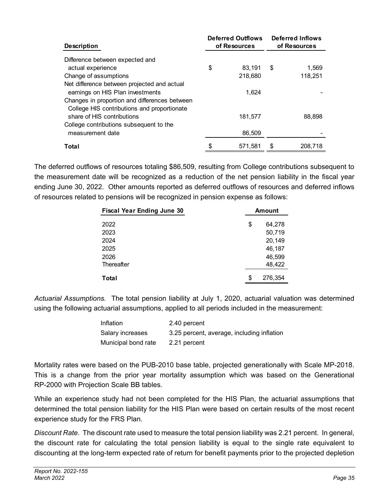| <b>Description</b>                            | <b>Deferred Outflows</b><br>of Resources |         | Deferred Inflows<br>of Resources |         |
|-----------------------------------------------|------------------------------------------|---------|----------------------------------|---------|
| Difference between expected and               |                                          |         |                                  |         |
| actual experience                             | \$                                       | 83.191  | \$                               | 1,569   |
| Change of assumptions                         |                                          | 218,680 |                                  | 118,251 |
| Net difference between projected and actual   |                                          |         |                                  |         |
| earnings on HIS Plan investments              |                                          | 1.624   |                                  |         |
| Changes in proportion and differences between |                                          |         |                                  |         |
| College HIS contributions and proportionate   |                                          |         |                                  |         |
| share of HIS contributions                    |                                          | 181,577 |                                  | 88,898  |
| College contributions subsequent to the       |                                          |         |                                  |         |
| measurement date                              |                                          | 86,509  |                                  |         |
| Total                                         | \$                                       | 571.581 | S                                | 208.718 |

The deferred outflows of resources totaling \$86,509, resulting from College contributions subsequent to the measurement date will be recognized as a reduction of the net pension liability in the fiscal year ending June 30, 2022. Other amounts reported as deferred outflows of resources and deferred inflows of resources related to pensions will be recognized in pension expense as follows:

| <b>Fiscal Year Ending June 30</b> | <b>Amount</b> |         |
|-----------------------------------|---------------|---------|
| 2022                              | \$            | 64,278  |
| 2023                              |               | 50,719  |
| 2024                              |               | 20,149  |
| 2025                              |               | 46,187  |
| 2026                              |               | 46,599  |
| Thereafter                        |               | 48,422  |
| Total                             | \$            | 276,354 |

*Actuarial Assumptions.* The total pension liability at July 1, 2020, actuarial valuation was determined using the following actuarial assumptions, applied to all periods included in the measurement:

| Inflation           | 2.40 percent                               |
|---------------------|--------------------------------------------|
| Salary increases    | 3.25 percent, average, including inflation |
| Municipal bond rate | 2.21 percent                               |

Mortality rates were based on the PUB-2010 base table, projected generationally with Scale MP-2018. This is a change from the prior year mortality assumption which was based on the Generational RP-2000 with Projection Scale BB tables.

While an experience study had not been completed for the HIS Plan, the actuarial assumptions that determined the total pension liability for the HIS Plan were based on certain results of the most recent experience study for the FRS Plan.

*Discount Rate*. The discount rate used to measure the total pension liability was 2.21 percent. In general, the discount rate for calculating the total pension liability is equal to the single rate equivalent to discounting at the long-term expected rate of return for benefit payments prior to the projected depletion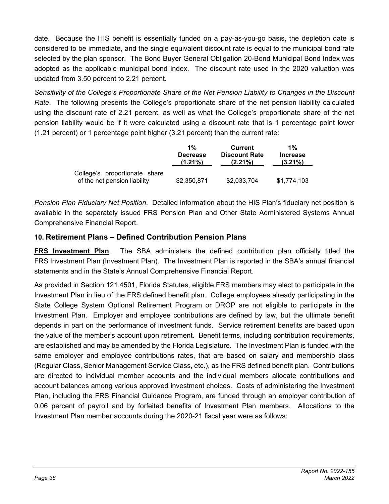date. Because the HIS benefit is essentially funded on a pay-as-you-go basis, the depletion date is considered to be immediate, and the single equivalent discount rate is equal to the municipal bond rate selected by the plan sponsor. The Bond Buyer General Obligation 20-Bond Municipal Bond Index was adopted as the applicable municipal bond index. The discount rate used in the 2020 valuation was updated from 3.50 percent to 2.21 percent.

*Sensitivity of the College's Proportionate Share of the Net Pension Liability to Changes in the Discount Rate*. The following presents the College's proportionate share of the net pension liability calculated using the discount rate of 2.21 percent, as well as what the College's proportionate share of the net pension liability would be if it were calculated using a discount rate that is 1 percentage point lower (1.21 percent) or 1 percentage point higher (3.21 percent) than the current rate:

|                                                               | $1\%$           | Current              | 1%              |
|---------------------------------------------------------------|-----------------|----------------------|-----------------|
|                                                               | <b>Decrease</b> | <b>Discount Rate</b> | <b>Increase</b> |
|                                                               | $(1.21\%)$      | $(2.21\%)$           | $(3.21\%)$      |
| College's proportionate share<br>of the net pension liability | \$2,350,871     | \$2,033,704          | \$1,774,103     |

*Pension Plan Fiduciary Net Position*. Detailed information about the HIS Plan's fiduciary net position is available in the separately issued FRS Pension Plan and Other State Administered Systems Annual Comprehensive Financial Report.

## **10. Retirement Plans – Defined Contribution Pension Plans**

**FRS Investment Plan**. The SBA administers the defined contribution plan officially titled the FRS Investment Plan (Investment Plan). The Investment Plan is reported in the SBA's annual financial statements and in the State's Annual Comprehensive Financial Report.

As provided in Section 121.4501, Florida Statutes, eligible FRS members may elect to participate in the Investment Plan in lieu of the FRS defined benefit plan. College employees already participating in the State College System Optional Retirement Program or DROP are not eligible to participate in the Investment Plan. Employer and employee contributions are defined by law, but the ultimate benefit depends in part on the performance of investment funds. Service retirement benefits are based upon the value of the member's account upon retirement. Benefit terms, including contribution requirements, are established and may be amended by the Florida Legislature. The Investment Plan is funded with the same employer and employee contributions rates, that are based on salary and membership class (Regular Class, Senior Management Service Class, etc.), as the FRS defined benefit plan. Contributions are directed to individual member accounts and the individual members allocate contributions and account balances among various approved investment choices. Costs of administering the Investment Plan, including the FRS Financial Guidance Program, are funded through an employer contribution of 0.06 percent of payroll and by forfeited benefits of Investment Plan members. Allocations to the Investment Plan member accounts during the 2020-21 fiscal year were as follows: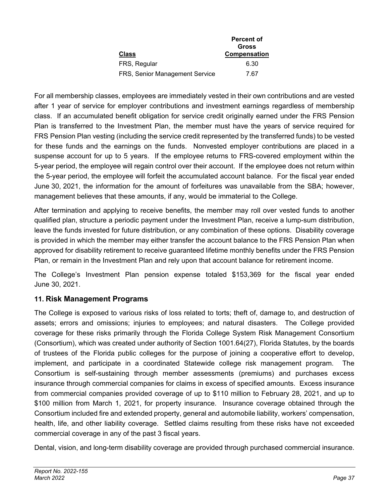|                                | Percent of   |  |  |  |  |  |
|--------------------------------|--------------|--|--|--|--|--|
|                                | Gross        |  |  |  |  |  |
| <b>Class</b>                   | Compensation |  |  |  |  |  |
| FRS, Regular                   | 6.30         |  |  |  |  |  |
| FRS, Senior Management Service | 7.67         |  |  |  |  |  |

For all membership classes, employees are immediately vested in their own contributions and are vested after 1 year of service for employer contributions and investment earnings regardless of membership class. If an accumulated benefit obligation for service credit originally earned under the FRS Pension Plan is transferred to the Investment Plan, the member must have the years of service required for FRS Pension Plan vesting (including the service credit represented by the transferred funds) to be vested for these funds and the earnings on the funds. Nonvested employer contributions are placed in a suspense account for up to 5 years. If the employee returns to FRS-covered employment within the 5-year period, the employee will regain control over their account. If the employee does not return within the 5-year period, the employee will forfeit the accumulated account balance. For the fiscal year ended June 30, 2021, the information for the amount of forfeitures was unavailable from the SBA; however, management believes that these amounts, if any, would be immaterial to the College.

After termination and applying to receive benefits, the member may roll over vested funds to another qualified plan, structure a periodic payment under the Investment Plan, receive a lump-sum distribution, leave the funds invested for future distribution, or any combination of these options. Disability coverage is provided in which the member may either transfer the account balance to the FRS Pension Plan when approved for disability retirement to receive guaranteed lifetime monthly benefits under the FRS Pension Plan, or remain in the Investment Plan and rely upon that account balance for retirement income.

The College's Investment Plan pension expense totaled \$153,369 for the fiscal year ended June 30, 2021.

## **11. Risk Management Programs**

The College is exposed to various risks of loss related to torts; theft of, damage to, and destruction of assets; errors and omissions; injuries to employees; and natural disasters. The College provided coverage for these risks primarily through the Florida College System Risk Management Consortium (Consortium), which was created under authority of Section 1001.64(27), Florida Statutes, by the boards of trustees of the Florida public colleges for the purpose of joining a cooperative effort to develop, implement, and participate in a coordinated Statewide college risk management program. The Consortium is self-sustaining through member assessments (premiums) and purchases excess insurance through commercial companies for claims in excess of specified amounts. Excess insurance from commercial companies provided coverage of up to \$110 million to February 28, 2021, and up to \$100 million from March 1, 2021, for property insurance. Insurance coverage obtained through the Consortium included fire and extended property, general and automobile liability, workers' compensation, health, life, and other liability coverage. Settled claims resulting from these risks have not exceeded commercial coverage in any of the past 3 fiscal years.

Dental, vision, and long-term disability coverage are provided through purchased commercial insurance.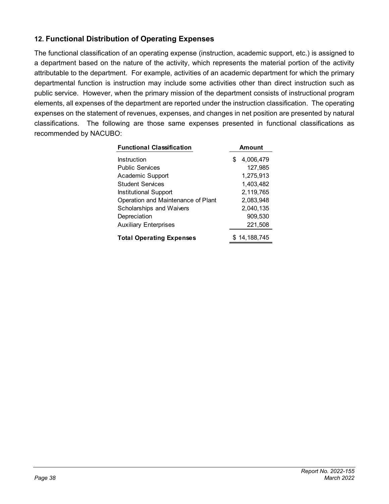## **12. Functional Distribution of Operating Expenses**

The functional classification of an operating expense (instruction, academic support, etc.) is assigned to a department based on the nature of the activity, which represents the material portion of the activity attributable to the department. For example, activities of an academic department for which the primary departmental function is instruction may include some activities other than direct instruction such as public service. However, when the primary mission of the department consists of instructional program elements, all expenses of the department are reported under the instruction classification. The operating expenses on the statement of revenues, expenses, and changes in net position are presented by natural classifications. The following are those same expenses presented in functional classifications as recommended by NACUBO:

| <b>Functional Classification</b>   | Amount |              |  |  |
|------------------------------------|--------|--------------|--|--|
| Instruction                        | S      | 4,006,479    |  |  |
| <b>Public Services</b>             |        | 127,985      |  |  |
| Academic Support                   |        | 1,275,913    |  |  |
| <b>Student Services</b>            |        | 1,403,482    |  |  |
| Institutional Support              |        | 2,119,765    |  |  |
| Operation and Maintenance of Plant |        | 2,083,948    |  |  |
| Scholarships and Waivers           |        | 2,040,135    |  |  |
| Depreciation                       |        | 909,530      |  |  |
| <b>Auxiliary Enterprises</b>       |        | 221,508      |  |  |
| <b>Total Operating Expenses</b>    |        | \$14,188,745 |  |  |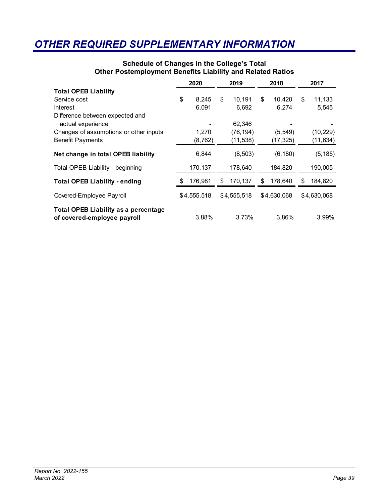## <span id="page-42-0"></span>*OTHER REQUIRED SUPPLEMENTARY INFORMATION*

|                                                                            |    | 2020        | 2019          |     | 2018        |    | 2017        |
|----------------------------------------------------------------------------|----|-------------|---------------|-----|-------------|----|-------------|
| <b>Total OPEB Liability</b>                                                |    |             |               |     |             |    |             |
| Service cost                                                               | \$ | 8,245       | \$<br>10,191  | \$  | 10.420      | \$ | 11,133      |
| <b>Interest</b>                                                            |    | 6,091       | 6,692         |     | 6,274       |    | 5,545       |
| Difference between expected and                                            |    |             |               |     |             |    |             |
| actual experience                                                          |    |             | 62,346        |     |             |    |             |
| Changes of assumptions or other inputs                                     |    | 1,270       | (76, 194)     |     | (5, 549)    |    | (10, 229)   |
| <b>Benefit Payments</b>                                                    |    | (8, 762)    | (11, 538)     |     | (17, 325)   |    | (11, 634)   |
| Net change in total OPEB liability                                         |    | 6,844       | (8, 503)      |     | (6, 180)    |    | (5, 185)    |
| Total OPEB Liability - beginning                                           |    | 170,137     | 178,640       |     | 184,820     |    | 190,005     |
| <b>Total OPEB Liability - ending</b>                                       | S  | 176,981     | \$<br>170,137 | \$. | 178,640     | S  | 184,820     |
| Covered-Employee Payroll                                                   |    | \$4,555,518 | \$4,555,518   |     | \$4,630,068 |    | \$4,630,068 |
| <b>Total OPEB Liability as a percentage</b><br>of covered-employee payroll |    | 3.88%       | 3.73%         |     | 3.86%       |    | 3.99%       |

## **Schedule of Changes in the College's Total Other Postemployment Benefits Liability and Related Ratios**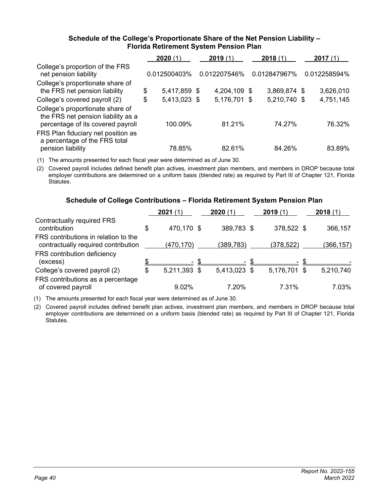#### **Schedule of the College's Proportionate Share of the Net Pension Liability – Florida Retirement System Pension Plan**

<span id="page-43-0"></span>

|                                                                                                             | 2020(1)            | 2019(1)      | 2018(1)      | 2017(1)      |
|-------------------------------------------------------------------------------------------------------------|--------------------|--------------|--------------|--------------|
| College's proportion of the FRS<br>net pension liability<br>College's proportionate share of                | 0.012500403%       | 0.012207546% | 0.012847967% | 0.012258594% |
| the FRS net pension liability                                                                               | \$<br>5,417,859 \$ | 4,204,109 \$ | 3,869,874 \$ | 3,626,010    |
| College's covered payroll (2)                                                                               | \$<br>5,413,023 \$ | 5,176,701 \$ | 5,210,740 \$ | 4,751,145    |
| College's proportionate share of<br>the FRS net pension liability as a<br>percentage of its covered payroll | 100.09%            | 81.21%       | 74.27%       | 76.32%       |
| FRS Plan fiduciary net position as<br>a percentage of the FRS total<br>pension liability                    | 78.85%             | 82.61%       | 84.26%       | 83.89%       |

(1) The amounts presented for each fiscal year were determined as of June 30.

(2) Covered payroll includes defined benefit plan actives, investment plan members, and members in DROP because total employer contributions are determined on a uniform basis (blended rate) as required by Part III of Chapter 121, Florida Statutes.

#### **Schedule of College Contributions – Florida Retirement System Pension Plan**

|                                                                             | 2021(1)            | 2020(1)                  | 2019(1)      | 2018(1)    |
|-----------------------------------------------------------------------------|--------------------|--------------------------|--------------|------------|
| <b>Contractually required FRS</b><br>contribution                           | \$<br>470,170 \$   | 389,783 \$               | 378,522 \$   | 366,157    |
| FRS contributions in relation to the<br>contractually required contribution | (470, 170)         | (389, 783)               | (378, 522)   | (366, 157) |
| FRS contribution deficiency<br>(excess)                                     |                    | $\overline{\phantom{0}}$ |              |            |
| College's covered payroll (2)                                               | \$<br>5,211,393 \$ | 5,413,023 \$             | 5,176,701 \$ | 5,210,740  |
| FRS contributions as a percentage<br>of covered payroll                     | 9.02%              | 7.20%                    | 7.31%        | 7.03%      |

(1) The amounts presented for each fiscal year were determined as of June 30.

(2) Covered payroll includes defined benefit plan actives, investment plan members, and members in DROP because total employer contributions are determined on a uniform basis (blended rate) as required by Part III of Chapter 121, Florida Statutes.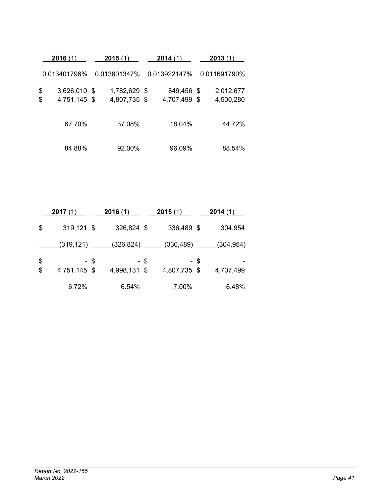|    | 2016(1)      | 2015(1)      | 2014(1)      | 2013(1)      |  |  |  |
|----|--------------|--------------|--------------|--------------|--|--|--|
|    | 0.013401796% | 0.013801347% | 0.013922147% | 0.011691790% |  |  |  |
| \$ | 3,626,010 \$ | 1,782,629 \$ | 849,456 \$   | 2,012,677    |  |  |  |
| \$ | 4,751,145 \$ | 4,807,735 \$ | 4,707,499 \$ | 4,500,280    |  |  |  |
|    | 67.70%       | 37.08%       | 18.04%       | 44.72%       |  |  |  |
|    | 84.88%       | 92.00%       | 96.09%       | 88.54%       |  |  |  |

| 2017(1)            | 2016(1)          | 2015(1)          | 2014(1)          |
|--------------------|------------------|------------------|------------------|
| \$<br>319,121 \$   | 326,824 \$       | 336,489 \$       | 304,954          |
| (319, 121)         | <u>(326,824)</u> | <u>(336,489)</u> | <u>(304,954)</u> |
|                    |                  |                  |                  |
| \$<br>4,751,145 \$ | 4,998,131 \$     | 4,807,735 \$     | 4,707,499        |
| 6.72%              | 6.54%            | 7.00%            | 6.48%            |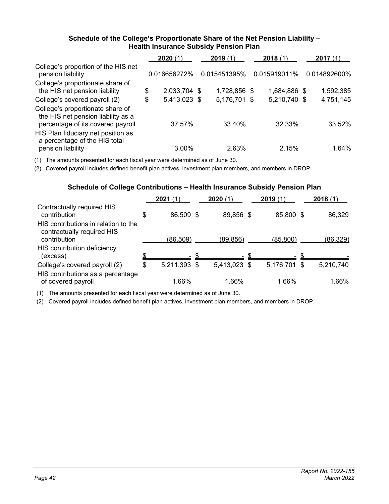#### **Schedule of the College's Proportionate Share of the Net Pension Liability – Health Insurance Subsidy Pension Plan**

<span id="page-45-0"></span>

|                                                                                                             | 2020(1)            | 2019(1)      | 2018(1)      | 2017 (1      |
|-------------------------------------------------------------------------------------------------------------|--------------------|--------------|--------------|--------------|
| College's proportion of the HIS net<br>pension liability<br>College's proportionate share of                | 0.016656272%       | 0.015451395% | 0.015919011% | 0.014892600% |
| the HIS net pension liability                                                                               | \$<br>2,033,704 \$ | 1,728,856 \$ | 1,684,886 \$ | 1,592,385    |
| College's covered payroll (2)                                                                               | \$<br>5,413,023 \$ | 5,176,701 \$ | 5,210,740 \$ | 4,751,145    |
| College's proportionate share of<br>the HIS net pension liability as a<br>percentage of its covered payroll | 37.57%             | 33.40%       | 32.33%       | 33.52%       |
| HIS Plan fiduciary net position as<br>a percentage of the HIS total<br>pension liability                    | 3.00%              | 2.63%        | 2.15%        | 1.64%        |

(1) The amounts presented for each fiscal year were determined as of June 30.

(2) Covered payroll includes defined benefit plan actives, investment plan members, and members in DROP.

## **Schedule of College Contributions – Health Insurance Subsidy Pension Plan**

|                                                                    | 2021(1)                  | 2020(1)      | 2019(1)                  | 2018(1)   |
|--------------------------------------------------------------------|--------------------------|--------------|--------------------------|-----------|
| Contractually required HIS<br>contribution                         | \$<br>86,509 \$          | 89,856 \$    | 85,800 \$                | 86,329    |
| HIS contributions in relation to the<br>contractually required HIS |                          |              |                          |           |
| contribution                                                       | (86, 509)                | (89, 856)    | (85, 800)                | (86, 329) |
| HIS contribution deficiency                                        |                          |              |                          |           |
| (excess)                                                           | $\overline{\phantom{0}}$ |              | $\overline{\phantom{0}}$ |           |
| College's covered payroll (2)                                      | \$<br>5,211,393 \$       | 5,413,023 \$ | 5,176,701 \$             | 5,210,740 |
| HIS contributions as a percentage<br>of covered payroll            | 1.66%                    | 1.66%        | 1.66%                    | 1.66%     |

(1) The amounts presented for each fiscal year were determined as of June 30.

(2) Covered payroll includes defined benefit plan actives, investment plan members, and members in DROP.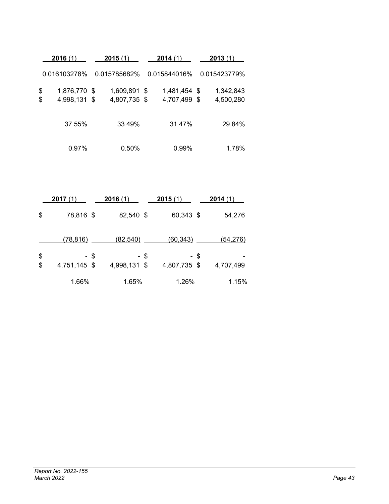|          | 2016(1)                   | 2015(1)                              | 2014(1)                      | 2013 (1 |                        |  |  |
|----------|---------------------------|--------------------------------------|------------------------------|---------|------------------------|--|--|
|          | 0.016103278%              | 0.015785682%                         | 0.015844016%                 |         | 0.015423779%           |  |  |
| \$<br>\$ | 1,876,770<br>4,998,131 \$ | 1,609,891 \$<br>- \$<br>4,807,735 \$ | 1,481,454 \$<br>4,707,499 \$ |         | 1,342,843<br>4,500,280 |  |  |
|          | 37.55%                    | 33.49%                               | 31.47%                       |         | 29.84%                 |  |  |
|          | 0.97%                     | 0.50%                                | 0.99%                        |         | 1.78%                  |  |  |

| 2017(1)            |   | 2016(1)      |      | 2015(1)      |      | 2014(1)   |
|--------------------|---|--------------|------|--------------|------|-----------|
| \$<br>78,816 \$    |   | 82,540 \$    |      | 60,343 \$    |      | 54,276    |
| (78, 816)          |   | (82, 540)    |      | (60, 343)    |      | (54,276)  |
|                    | S |              | - \$ |              | - \$ |           |
| \$<br>4,751,145 \$ |   | 4,998,131 \$ |      | 4,807,735 \$ |      | 4,707,499 |
| 1.66%              |   | 1.65%        |      | 1.26%        |      | 1.15%     |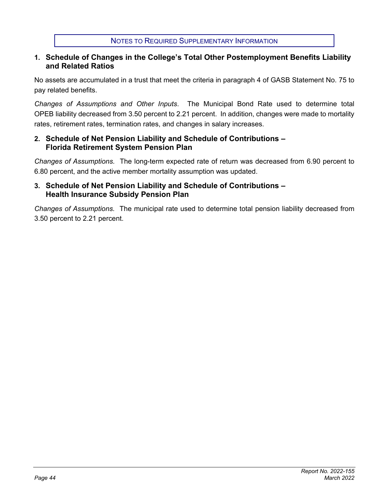## <span id="page-47-0"></span>**1. Schedule of Changes in the College's Total Other Postemployment Benefits Liability and Related Ratios**

No assets are accumulated in a trust that meet the criteria in paragraph 4 of GASB Statement No. 75 to pay related benefits.

*Changes of Assumptions and Other Inputs*. The Municipal Bond Rate used to determine total OPEB liability decreased from 3.50 percent to 2.21 percent. In addition, changes were made to mortality rates, retirement rates, termination rates, and changes in salary increases.

## **2. Schedule of Net Pension Liability and Schedule of Contributions – Florida Retirement System Pension Plan**

*Changes of Assumptions.* The long-term expected rate of return was decreased from 6.90 percent to 6.80 percent, and the active member mortality assumption was updated.

## **3. Schedule of Net Pension Liability and Schedule of Contributions – Health Insurance Subsidy Pension Plan**

*Changes of Assumptions.* The municipal rate used to determine total pension liability decreased from 3.50 percent to 2.21 percent.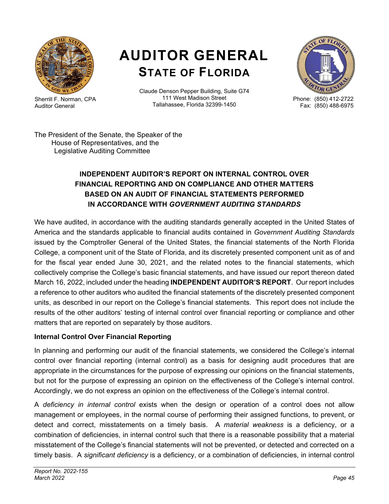<span id="page-48-0"></span>

Sherrill F. Norman, CPA Auditor General

# **AUDITOR GENERAL STATE OF FLORIDA**

Claude Denson Pepper Building, Suite G74 111 West Madison Street Tallahassee, Florida 32399-1450



Phone: (850) 412-2722 Fax: (850) 488-6975

The President of the Senate, the Speaker of the House of Representatives, and the Legislative Auditing Committee

## **INDEPENDENT AUDITOR'S REPORT ON INTERNAL CONTROL OVER FINANCIAL REPORTING AND ON COMPLIANCE AND OTHER MATTERS BASED ON AN AUDIT OF FINANCIAL STATEMENTS PERFORMED IN ACCORDANCE WITH** *GOVERNMENT AUDITING STANDARDS*

We have audited, in accordance with the auditing standards generally accepted in the United States of America and the standards applicable to financial audits contained in *Government Auditing Standards* issued by the Comptroller General of the United States, the financial statements of the North Florida College, a component unit of the State of Florida, and its discretely presented component unit as of and for the fiscal year ended June 30, 2021, and the related notes to the financial statements, which collectively comprise the College's basic financial statements, and have issued our report thereon dated March 16, 2022, included under the heading **INDEPENDENT AUDITOR'S REPORT**. Our report includes a reference to other auditors who audited the financial statements of the discretely presented component units, as described in our report on the College's financial statements. This report does not include the results of the other auditors' testing of internal control over financial reporting or compliance and other matters that are reported on separately by those auditors.

## **Internal Control Over Financial Reporting**

In planning and performing our audit of the financial statements, we considered the College's internal control over financial reporting (internal control) as a basis for designing audit procedures that are appropriate in the circumstances for the purpose of expressing our opinions on the financial statements, but not for the purpose of expressing an opinion on the effectiveness of the College's internal control. Accordingly, we do not express an opinion on the effectiveness of the College's internal control.

A *deficiency in internal control* exists when the design or operation of a control does not allow management or employees, in the normal course of performing their assigned functions, to prevent, or detect and correct, misstatements on a timely basis. A *material weakness* is a deficiency, or a combination of deficiencies, in internal control such that there is a reasonable possibility that a material misstatement of the College's financial statements will not be prevented, or detected and corrected on a timely basis. A *significant deficiency* is a deficiency, or a combination of deficiencies, in internal control